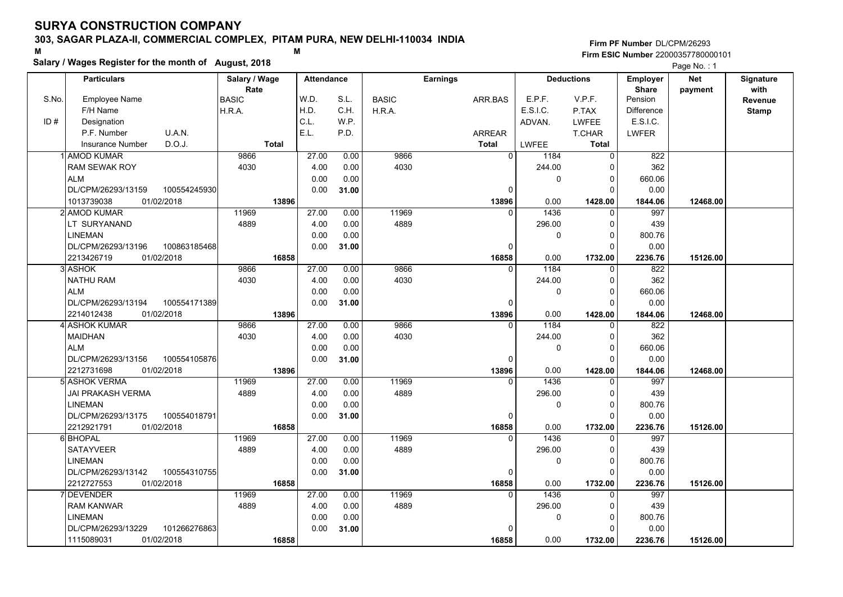### **303, SAGAR PLAZA-II, COMMERCIAL COMPLEX, PITAM PURA, NEW DELHI-110034 INDIA**

**Salary / Wages Register for the month of August, 2018 <sup>M</sup> <sup>M</sup>**

| <b>Particulars</b><br>Salary / Wage<br><b>Earnings</b><br><b>Deductions</b><br>Employer<br><b>Net</b><br><b>Attendance</b><br><b>Signature</b><br>with<br>Rate<br><b>Share</b><br>payment<br>W.D.<br>S.No.<br><b>Employee Name</b><br><b>BASIC</b><br>S.L.<br>E.P.F.<br>V.P.F.<br><b>BASIC</b><br>ARR.BAS<br>Pension<br>Revenue<br>H.D.<br>C.H.<br>E.S.I.C.<br>Difference<br>F/H Name<br>H.R.A.<br>H.R.A.<br>P.TAX<br><b>Stamp</b><br>C.L.<br>ID#<br>Designation<br>W.P.<br>E.S.I.C.<br>ADVAN.<br><b>LWFEE</b><br>E.L.<br>P.F. Number<br>U.A.N.<br>P.D.<br>ARREAR<br><b>LWFER</b><br>T.CHAR<br>D.O.J.<br><b>Total</b><br><b>Total</b><br><b>Insurance Number</b><br><b>LWFEE</b><br><b>Total</b><br>1 AMOD KUMAR<br>9866<br>27.00<br>0.00<br>9866<br>$\overline{0}$<br>$\overline{0}$<br>822<br>1184<br>362<br><b>RAM SEWAK ROY</b><br>4030<br>4.00<br>0.00<br>4030<br>244.00<br>$\Omega$<br>0.00<br>0.00<br>660.06<br><b>ALM</b><br>0<br>$\Omega$<br>DL/CPM/26293/13159<br>100554245930<br>0.00<br>0.00<br>31.00<br>0<br>$\Omega$<br>01/02/2018<br>13896<br>0.00<br>1013739038<br>13896<br>1428.00<br>1844.06<br>12468.00<br>11969<br>11969<br>2 AMOD KUMAR<br>27.00<br>0.00<br>1436<br>997<br>$\Omega$<br>$\Omega$<br>4889<br>4889<br>LT SURYANAND<br>4.00<br>0.00<br>296.00<br>439<br>0<br><b>LINEMAN</b><br>0.00<br>0.00<br>$\mathbf 0$<br>800.76<br>$\Omega$<br>100863185468<br>0.00<br>0.00<br>DL/CPM/26293/13196<br>31.00<br>$\Omega$<br>$\Omega$<br>16858<br>2213426719<br>01/02/2018<br>16858<br>0.00<br>1732.00<br>2236.76<br>15126.00<br>9866<br>9866<br>27.00<br>0.00<br>1184<br>822<br>3 ASHOK<br>0<br>$\mathbf{0}$<br><b>NATHU RAM</b><br>4030<br>362<br>4030<br>4.00<br>0.00<br>244.00<br>$\Omega$<br><b>ALM</b><br>0.00<br>0.00<br>$\mathbf 0$<br>660.06<br>$\Omega$<br>DL/CPM/26293/13194<br>100554171389<br>0.00<br>31.00<br>0.00<br>$\Omega$<br>0<br>2214012438<br>01/02/2018<br>13896<br>13896<br>0.00<br>1428.00<br>12468.00<br>1844.06<br>4 ASHOK KUMAR<br>9866<br>27.00<br>0.00<br>9866<br>1184<br>822<br>$\Omega$<br>$\Omega$<br>4030<br>362<br><b>MAIDHAN</b><br>4030<br>4.00<br>0.00<br>244.00<br>$\Omega$<br>0.00<br>0.00<br>660.06<br><b>ALM</b><br>$\mathbf 0$<br>0<br>DL/CPM/26293/13156<br>100554105876<br>0.00<br>0.00<br>31.00<br>$\Omega$<br>0<br>2212731698<br>01/02/2018<br>0.00<br>13896<br>13896<br>1428.00<br>1844.06<br>12468.00<br>11969<br>27.00<br>11969<br>997<br>5l ASHOK VERMA<br>0.00<br>1436<br>$\Omega$<br>0<br>4889<br>4.00<br>0.00<br>4889<br>296.00<br>439<br>JAI PRAKASH VERMA<br>0<br><b>LINEMAN</b><br>0.00<br>0.00<br>800.76<br>0<br>$\Omega$<br>100554018791<br>0.00<br>0.00<br>DL/CPM/26293/13175<br>31.00<br>0<br>0<br>2212921791<br>01/02/2018<br>16858<br>0.00<br>16858<br>1732.00<br>2236.76<br>15126.00<br>11969<br>11969<br>1436<br>997<br>6 BHOPAL<br>27.00<br>0.00<br>$\Omega$<br>$\Omega$<br><b>SATAYVEER</b><br>4889<br>4889<br>4.00<br>0.00<br>296.00<br>$\Omega$<br>439 | Salary / Wages Register for the month of August, 2018 |      |      |  |             |          |        | Page No.: 1 |  |
|-----------------------------------------------------------------------------------------------------------------------------------------------------------------------------------------------------------------------------------------------------------------------------------------------------------------------------------------------------------------------------------------------------------------------------------------------------------------------------------------------------------------------------------------------------------------------------------------------------------------------------------------------------------------------------------------------------------------------------------------------------------------------------------------------------------------------------------------------------------------------------------------------------------------------------------------------------------------------------------------------------------------------------------------------------------------------------------------------------------------------------------------------------------------------------------------------------------------------------------------------------------------------------------------------------------------------------------------------------------------------------------------------------------------------------------------------------------------------------------------------------------------------------------------------------------------------------------------------------------------------------------------------------------------------------------------------------------------------------------------------------------------------------------------------------------------------------------------------------------------------------------------------------------------------------------------------------------------------------------------------------------------------------------------------------------------------------------------------------------------------------------------------------------------------------------------------------------------------------------------------------------------------------------------------------------------------------------------------------------------------------------------------------------------------------------------------------------------------------------------------------------------------------------------------------------------------------------------------------------------------------------------------------------------------------------------------------------------------------------------------------------------------------------------------------------------------------------------------------------------------------------------------------------------------------------------------|-------------------------------------------------------|------|------|--|-------------|----------|--------|-------------|--|
|                                                                                                                                                                                                                                                                                                                                                                                                                                                                                                                                                                                                                                                                                                                                                                                                                                                                                                                                                                                                                                                                                                                                                                                                                                                                                                                                                                                                                                                                                                                                                                                                                                                                                                                                                                                                                                                                                                                                                                                                                                                                                                                                                                                                                                                                                                                                                                                                                                                                                                                                                                                                                                                                                                                                                                                                                                                                                                                                               |                                                       |      |      |  |             |          |        |             |  |
|                                                                                                                                                                                                                                                                                                                                                                                                                                                                                                                                                                                                                                                                                                                                                                                                                                                                                                                                                                                                                                                                                                                                                                                                                                                                                                                                                                                                                                                                                                                                                                                                                                                                                                                                                                                                                                                                                                                                                                                                                                                                                                                                                                                                                                                                                                                                                                                                                                                                                                                                                                                                                                                                                                                                                                                                                                                                                                                                               |                                                       |      |      |  |             |          |        |             |  |
|                                                                                                                                                                                                                                                                                                                                                                                                                                                                                                                                                                                                                                                                                                                                                                                                                                                                                                                                                                                                                                                                                                                                                                                                                                                                                                                                                                                                                                                                                                                                                                                                                                                                                                                                                                                                                                                                                                                                                                                                                                                                                                                                                                                                                                                                                                                                                                                                                                                                                                                                                                                                                                                                                                                                                                                                                                                                                                                                               |                                                       |      |      |  |             |          |        |             |  |
|                                                                                                                                                                                                                                                                                                                                                                                                                                                                                                                                                                                                                                                                                                                                                                                                                                                                                                                                                                                                                                                                                                                                                                                                                                                                                                                                                                                                                                                                                                                                                                                                                                                                                                                                                                                                                                                                                                                                                                                                                                                                                                                                                                                                                                                                                                                                                                                                                                                                                                                                                                                                                                                                                                                                                                                                                                                                                                                                               |                                                       |      |      |  |             |          |        |             |  |
|                                                                                                                                                                                                                                                                                                                                                                                                                                                                                                                                                                                                                                                                                                                                                                                                                                                                                                                                                                                                                                                                                                                                                                                                                                                                                                                                                                                                                                                                                                                                                                                                                                                                                                                                                                                                                                                                                                                                                                                                                                                                                                                                                                                                                                                                                                                                                                                                                                                                                                                                                                                                                                                                                                                                                                                                                                                                                                                                               |                                                       |      |      |  |             |          |        |             |  |
|                                                                                                                                                                                                                                                                                                                                                                                                                                                                                                                                                                                                                                                                                                                                                                                                                                                                                                                                                                                                                                                                                                                                                                                                                                                                                                                                                                                                                                                                                                                                                                                                                                                                                                                                                                                                                                                                                                                                                                                                                                                                                                                                                                                                                                                                                                                                                                                                                                                                                                                                                                                                                                                                                                                                                                                                                                                                                                                                               |                                                       |      |      |  |             |          |        |             |  |
|                                                                                                                                                                                                                                                                                                                                                                                                                                                                                                                                                                                                                                                                                                                                                                                                                                                                                                                                                                                                                                                                                                                                                                                                                                                                                                                                                                                                                                                                                                                                                                                                                                                                                                                                                                                                                                                                                                                                                                                                                                                                                                                                                                                                                                                                                                                                                                                                                                                                                                                                                                                                                                                                                                                                                                                                                                                                                                                                               |                                                       |      |      |  |             |          |        |             |  |
|                                                                                                                                                                                                                                                                                                                                                                                                                                                                                                                                                                                                                                                                                                                                                                                                                                                                                                                                                                                                                                                                                                                                                                                                                                                                                                                                                                                                                                                                                                                                                                                                                                                                                                                                                                                                                                                                                                                                                                                                                                                                                                                                                                                                                                                                                                                                                                                                                                                                                                                                                                                                                                                                                                                                                                                                                                                                                                                                               |                                                       |      |      |  |             |          |        |             |  |
|                                                                                                                                                                                                                                                                                                                                                                                                                                                                                                                                                                                                                                                                                                                                                                                                                                                                                                                                                                                                                                                                                                                                                                                                                                                                                                                                                                                                                                                                                                                                                                                                                                                                                                                                                                                                                                                                                                                                                                                                                                                                                                                                                                                                                                                                                                                                                                                                                                                                                                                                                                                                                                                                                                                                                                                                                                                                                                                                               |                                                       |      |      |  |             |          |        |             |  |
|                                                                                                                                                                                                                                                                                                                                                                                                                                                                                                                                                                                                                                                                                                                                                                                                                                                                                                                                                                                                                                                                                                                                                                                                                                                                                                                                                                                                                                                                                                                                                                                                                                                                                                                                                                                                                                                                                                                                                                                                                                                                                                                                                                                                                                                                                                                                                                                                                                                                                                                                                                                                                                                                                                                                                                                                                                                                                                                                               |                                                       |      |      |  |             |          |        |             |  |
|                                                                                                                                                                                                                                                                                                                                                                                                                                                                                                                                                                                                                                                                                                                                                                                                                                                                                                                                                                                                                                                                                                                                                                                                                                                                                                                                                                                                                                                                                                                                                                                                                                                                                                                                                                                                                                                                                                                                                                                                                                                                                                                                                                                                                                                                                                                                                                                                                                                                                                                                                                                                                                                                                                                                                                                                                                                                                                                                               |                                                       |      |      |  |             |          |        |             |  |
|                                                                                                                                                                                                                                                                                                                                                                                                                                                                                                                                                                                                                                                                                                                                                                                                                                                                                                                                                                                                                                                                                                                                                                                                                                                                                                                                                                                                                                                                                                                                                                                                                                                                                                                                                                                                                                                                                                                                                                                                                                                                                                                                                                                                                                                                                                                                                                                                                                                                                                                                                                                                                                                                                                                                                                                                                                                                                                                                               |                                                       |      |      |  |             |          |        |             |  |
|                                                                                                                                                                                                                                                                                                                                                                                                                                                                                                                                                                                                                                                                                                                                                                                                                                                                                                                                                                                                                                                                                                                                                                                                                                                                                                                                                                                                                                                                                                                                                                                                                                                                                                                                                                                                                                                                                                                                                                                                                                                                                                                                                                                                                                                                                                                                                                                                                                                                                                                                                                                                                                                                                                                                                                                                                                                                                                                                               |                                                       |      |      |  |             |          |        |             |  |
|                                                                                                                                                                                                                                                                                                                                                                                                                                                                                                                                                                                                                                                                                                                                                                                                                                                                                                                                                                                                                                                                                                                                                                                                                                                                                                                                                                                                                                                                                                                                                                                                                                                                                                                                                                                                                                                                                                                                                                                                                                                                                                                                                                                                                                                                                                                                                                                                                                                                                                                                                                                                                                                                                                                                                                                                                                                                                                                                               |                                                       |      |      |  |             |          |        |             |  |
|                                                                                                                                                                                                                                                                                                                                                                                                                                                                                                                                                                                                                                                                                                                                                                                                                                                                                                                                                                                                                                                                                                                                                                                                                                                                                                                                                                                                                                                                                                                                                                                                                                                                                                                                                                                                                                                                                                                                                                                                                                                                                                                                                                                                                                                                                                                                                                                                                                                                                                                                                                                                                                                                                                                                                                                                                                                                                                                                               |                                                       |      |      |  |             |          |        |             |  |
|                                                                                                                                                                                                                                                                                                                                                                                                                                                                                                                                                                                                                                                                                                                                                                                                                                                                                                                                                                                                                                                                                                                                                                                                                                                                                                                                                                                                                                                                                                                                                                                                                                                                                                                                                                                                                                                                                                                                                                                                                                                                                                                                                                                                                                                                                                                                                                                                                                                                                                                                                                                                                                                                                                                                                                                                                                                                                                                                               |                                                       |      |      |  |             |          |        |             |  |
|                                                                                                                                                                                                                                                                                                                                                                                                                                                                                                                                                                                                                                                                                                                                                                                                                                                                                                                                                                                                                                                                                                                                                                                                                                                                                                                                                                                                                                                                                                                                                                                                                                                                                                                                                                                                                                                                                                                                                                                                                                                                                                                                                                                                                                                                                                                                                                                                                                                                                                                                                                                                                                                                                                                                                                                                                                                                                                                                               |                                                       |      |      |  |             |          |        |             |  |
|                                                                                                                                                                                                                                                                                                                                                                                                                                                                                                                                                                                                                                                                                                                                                                                                                                                                                                                                                                                                                                                                                                                                                                                                                                                                                                                                                                                                                                                                                                                                                                                                                                                                                                                                                                                                                                                                                                                                                                                                                                                                                                                                                                                                                                                                                                                                                                                                                                                                                                                                                                                                                                                                                                                                                                                                                                                                                                                                               |                                                       |      |      |  |             |          |        |             |  |
|                                                                                                                                                                                                                                                                                                                                                                                                                                                                                                                                                                                                                                                                                                                                                                                                                                                                                                                                                                                                                                                                                                                                                                                                                                                                                                                                                                                                                                                                                                                                                                                                                                                                                                                                                                                                                                                                                                                                                                                                                                                                                                                                                                                                                                                                                                                                                                                                                                                                                                                                                                                                                                                                                                                                                                                                                                                                                                                                               |                                                       |      |      |  |             |          |        |             |  |
|                                                                                                                                                                                                                                                                                                                                                                                                                                                                                                                                                                                                                                                                                                                                                                                                                                                                                                                                                                                                                                                                                                                                                                                                                                                                                                                                                                                                                                                                                                                                                                                                                                                                                                                                                                                                                                                                                                                                                                                                                                                                                                                                                                                                                                                                                                                                                                                                                                                                                                                                                                                                                                                                                                                                                                                                                                                                                                                                               |                                                       |      |      |  |             |          |        |             |  |
|                                                                                                                                                                                                                                                                                                                                                                                                                                                                                                                                                                                                                                                                                                                                                                                                                                                                                                                                                                                                                                                                                                                                                                                                                                                                                                                                                                                                                                                                                                                                                                                                                                                                                                                                                                                                                                                                                                                                                                                                                                                                                                                                                                                                                                                                                                                                                                                                                                                                                                                                                                                                                                                                                                                                                                                                                                                                                                                                               |                                                       |      |      |  |             |          |        |             |  |
|                                                                                                                                                                                                                                                                                                                                                                                                                                                                                                                                                                                                                                                                                                                                                                                                                                                                                                                                                                                                                                                                                                                                                                                                                                                                                                                                                                                                                                                                                                                                                                                                                                                                                                                                                                                                                                                                                                                                                                                                                                                                                                                                                                                                                                                                                                                                                                                                                                                                                                                                                                                                                                                                                                                                                                                                                                                                                                                                               |                                                       |      |      |  |             |          |        |             |  |
|                                                                                                                                                                                                                                                                                                                                                                                                                                                                                                                                                                                                                                                                                                                                                                                                                                                                                                                                                                                                                                                                                                                                                                                                                                                                                                                                                                                                                                                                                                                                                                                                                                                                                                                                                                                                                                                                                                                                                                                                                                                                                                                                                                                                                                                                                                                                                                                                                                                                                                                                                                                                                                                                                                                                                                                                                                                                                                                                               |                                                       |      |      |  |             |          |        |             |  |
|                                                                                                                                                                                                                                                                                                                                                                                                                                                                                                                                                                                                                                                                                                                                                                                                                                                                                                                                                                                                                                                                                                                                                                                                                                                                                                                                                                                                                                                                                                                                                                                                                                                                                                                                                                                                                                                                                                                                                                                                                                                                                                                                                                                                                                                                                                                                                                                                                                                                                                                                                                                                                                                                                                                                                                                                                                                                                                                                               |                                                       |      |      |  |             |          |        |             |  |
|                                                                                                                                                                                                                                                                                                                                                                                                                                                                                                                                                                                                                                                                                                                                                                                                                                                                                                                                                                                                                                                                                                                                                                                                                                                                                                                                                                                                                                                                                                                                                                                                                                                                                                                                                                                                                                                                                                                                                                                                                                                                                                                                                                                                                                                                                                                                                                                                                                                                                                                                                                                                                                                                                                                                                                                                                                                                                                                                               |                                                       |      |      |  |             |          |        |             |  |
|                                                                                                                                                                                                                                                                                                                                                                                                                                                                                                                                                                                                                                                                                                                                                                                                                                                                                                                                                                                                                                                                                                                                                                                                                                                                                                                                                                                                                                                                                                                                                                                                                                                                                                                                                                                                                                                                                                                                                                                                                                                                                                                                                                                                                                                                                                                                                                                                                                                                                                                                                                                                                                                                                                                                                                                                                                                                                                                                               |                                                       |      |      |  |             |          |        |             |  |
|                                                                                                                                                                                                                                                                                                                                                                                                                                                                                                                                                                                                                                                                                                                                                                                                                                                                                                                                                                                                                                                                                                                                                                                                                                                                                                                                                                                                                                                                                                                                                                                                                                                                                                                                                                                                                                                                                                                                                                                                                                                                                                                                                                                                                                                                                                                                                                                                                                                                                                                                                                                                                                                                                                                                                                                                                                                                                                                                               |                                                       |      |      |  |             |          |        |             |  |
|                                                                                                                                                                                                                                                                                                                                                                                                                                                                                                                                                                                                                                                                                                                                                                                                                                                                                                                                                                                                                                                                                                                                                                                                                                                                                                                                                                                                                                                                                                                                                                                                                                                                                                                                                                                                                                                                                                                                                                                                                                                                                                                                                                                                                                                                                                                                                                                                                                                                                                                                                                                                                                                                                                                                                                                                                                                                                                                                               |                                                       |      |      |  |             |          |        |             |  |
|                                                                                                                                                                                                                                                                                                                                                                                                                                                                                                                                                                                                                                                                                                                                                                                                                                                                                                                                                                                                                                                                                                                                                                                                                                                                                                                                                                                                                                                                                                                                                                                                                                                                                                                                                                                                                                                                                                                                                                                                                                                                                                                                                                                                                                                                                                                                                                                                                                                                                                                                                                                                                                                                                                                                                                                                                                                                                                                                               |                                                       |      |      |  |             |          |        |             |  |
|                                                                                                                                                                                                                                                                                                                                                                                                                                                                                                                                                                                                                                                                                                                                                                                                                                                                                                                                                                                                                                                                                                                                                                                                                                                                                                                                                                                                                                                                                                                                                                                                                                                                                                                                                                                                                                                                                                                                                                                                                                                                                                                                                                                                                                                                                                                                                                                                                                                                                                                                                                                                                                                                                                                                                                                                                                                                                                                                               |                                                       |      |      |  |             |          |        |             |  |
|                                                                                                                                                                                                                                                                                                                                                                                                                                                                                                                                                                                                                                                                                                                                                                                                                                                                                                                                                                                                                                                                                                                                                                                                                                                                                                                                                                                                                                                                                                                                                                                                                                                                                                                                                                                                                                                                                                                                                                                                                                                                                                                                                                                                                                                                                                                                                                                                                                                                                                                                                                                                                                                                                                                                                                                                                                                                                                                                               |                                                       |      |      |  |             |          |        |             |  |
|                                                                                                                                                                                                                                                                                                                                                                                                                                                                                                                                                                                                                                                                                                                                                                                                                                                                                                                                                                                                                                                                                                                                                                                                                                                                                                                                                                                                                                                                                                                                                                                                                                                                                                                                                                                                                                                                                                                                                                                                                                                                                                                                                                                                                                                                                                                                                                                                                                                                                                                                                                                                                                                                                                                                                                                                                                                                                                                                               |                                                       |      |      |  |             |          |        |             |  |
|                                                                                                                                                                                                                                                                                                                                                                                                                                                                                                                                                                                                                                                                                                                                                                                                                                                                                                                                                                                                                                                                                                                                                                                                                                                                                                                                                                                                                                                                                                                                                                                                                                                                                                                                                                                                                                                                                                                                                                                                                                                                                                                                                                                                                                                                                                                                                                                                                                                                                                                                                                                                                                                                                                                                                                                                                                                                                                                                               |                                                       |      |      |  |             |          |        |             |  |
|                                                                                                                                                                                                                                                                                                                                                                                                                                                                                                                                                                                                                                                                                                                                                                                                                                                                                                                                                                                                                                                                                                                                                                                                                                                                                                                                                                                                                                                                                                                                                                                                                                                                                                                                                                                                                                                                                                                                                                                                                                                                                                                                                                                                                                                                                                                                                                                                                                                                                                                                                                                                                                                                                                                                                                                                                                                                                                                                               |                                                       |      |      |  |             |          |        |             |  |
|                                                                                                                                                                                                                                                                                                                                                                                                                                                                                                                                                                                                                                                                                                                                                                                                                                                                                                                                                                                                                                                                                                                                                                                                                                                                                                                                                                                                                                                                                                                                                                                                                                                                                                                                                                                                                                                                                                                                                                                                                                                                                                                                                                                                                                                                                                                                                                                                                                                                                                                                                                                                                                                                                                                                                                                                                                                                                                                                               | <b>LINEMAN</b>                                        | 0.00 | 0.00 |  | $\mathbf 0$ | $\Omega$ | 800.76 |             |  |
| DL/CPM/26293/13142<br>100554310755<br>0.00<br>0.00<br>31.00<br>$\Omega$<br>$\Omega$                                                                                                                                                                                                                                                                                                                                                                                                                                                                                                                                                                                                                                                                                                                                                                                                                                                                                                                                                                                                                                                                                                                                                                                                                                                                                                                                                                                                                                                                                                                                                                                                                                                                                                                                                                                                                                                                                                                                                                                                                                                                                                                                                                                                                                                                                                                                                                                                                                                                                                                                                                                                                                                                                                                                                                                                                                                           |                                                       |      |      |  |             |          |        |             |  |
| 2212727553<br>0.00<br>01/02/2018<br>16858<br>1732.00<br>2236.76<br>16858<br>15126.00                                                                                                                                                                                                                                                                                                                                                                                                                                                                                                                                                                                                                                                                                                                                                                                                                                                                                                                                                                                                                                                                                                                                                                                                                                                                                                                                                                                                                                                                                                                                                                                                                                                                                                                                                                                                                                                                                                                                                                                                                                                                                                                                                                                                                                                                                                                                                                                                                                                                                                                                                                                                                                                                                                                                                                                                                                                          |                                                       |      |      |  |             |          |        |             |  |
| 11969<br>11969<br>1436<br>7 DEVENDER<br>27.00<br>0.00<br>997<br>$\Omega$<br>$\Omega$                                                                                                                                                                                                                                                                                                                                                                                                                                                                                                                                                                                                                                                                                                                                                                                                                                                                                                                                                                                                                                                                                                                                                                                                                                                                                                                                                                                                                                                                                                                                                                                                                                                                                                                                                                                                                                                                                                                                                                                                                                                                                                                                                                                                                                                                                                                                                                                                                                                                                                                                                                                                                                                                                                                                                                                                                                                          |                                                       |      |      |  |             |          |        |             |  |
| <b>RAM KANWAR</b><br>4889<br>4.00<br>0.00<br>4889<br>296.00<br>439<br>$\Omega$                                                                                                                                                                                                                                                                                                                                                                                                                                                                                                                                                                                                                                                                                                                                                                                                                                                                                                                                                                                                                                                                                                                                                                                                                                                                                                                                                                                                                                                                                                                                                                                                                                                                                                                                                                                                                                                                                                                                                                                                                                                                                                                                                                                                                                                                                                                                                                                                                                                                                                                                                                                                                                                                                                                                                                                                                                                                |                                                       |      |      |  |             |          |        |             |  |
| <b>LINEMAN</b><br>0.00<br>0.00<br>$\pmb{0}$<br>800.76<br>0                                                                                                                                                                                                                                                                                                                                                                                                                                                                                                                                                                                                                                                                                                                                                                                                                                                                                                                                                                                                                                                                                                                                                                                                                                                                                                                                                                                                                                                                                                                                                                                                                                                                                                                                                                                                                                                                                                                                                                                                                                                                                                                                                                                                                                                                                                                                                                                                                                                                                                                                                                                                                                                                                                                                                                                                                                                                                    |                                                       |      |      |  |             |          |        |             |  |
| DL/CPM/26293/13229<br>101266276863<br>0.00<br>0.00<br>31.00<br>O<br>$\Omega$                                                                                                                                                                                                                                                                                                                                                                                                                                                                                                                                                                                                                                                                                                                                                                                                                                                                                                                                                                                                                                                                                                                                                                                                                                                                                                                                                                                                                                                                                                                                                                                                                                                                                                                                                                                                                                                                                                                                                                                                                                                                                                                                                                                                                                                                                                                                                                                                                                                                                                                                                                                                                                                                                                                                                                                                                                                                  |                                                       |      |      |  |             |          |        |             |  |
| 1115089031<br>01/02/2018<br>16858<br>0.00<br>2236.76<br>16858<br>1732.00<br>15126.00                                                                                                                                                                                                                                                                                                                                                                                                                                                                                                                                                                                                                                                                                                                                                                                                                                                                                                                                                                                                                                                                                                                                                                                                                                                                                                                                                                                                                                                                                                                                                                                                                                                                                                                                                                                                                                                                                                                                                                                                                                                                                                                                                                                                                                                                                                                                                                                                                                                                                                                                                                                                                                                                                                                                                                                                                                                          |                                                       |      |      |  |             |          |        |             |  |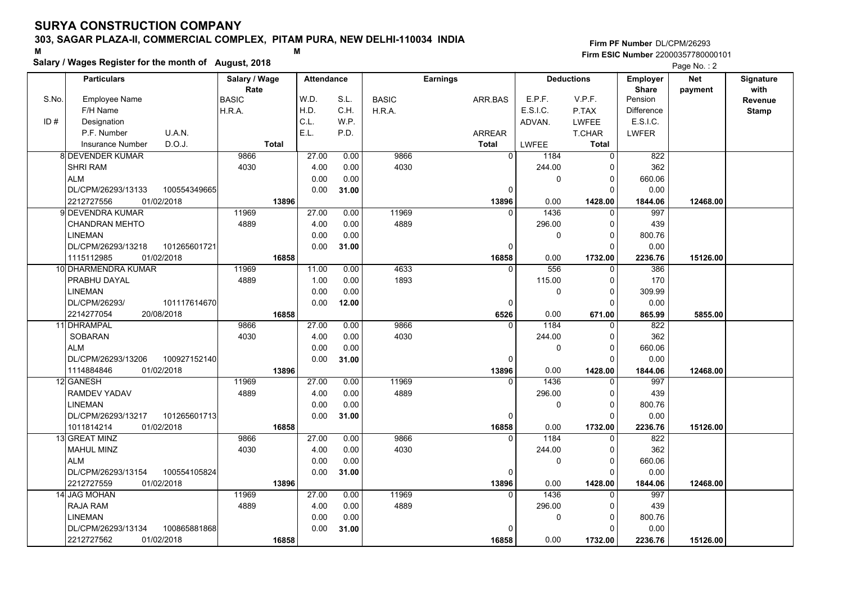#### **303, SAGAR PLAZA-II, COMMERCIAL COMPLEX, PITAM PURA, NEW DELHI-110034 INDIA**

**Salary / Wages Register for the month of August, 2018 <sup>M</sup> <sup>M</sup>**

|       | Salary / Wages Register for the month of August, 2018 |               |                   |       |              |                 |              |                   |                   | Page No.: 2 |                  |
|-------|-------------------------------------------------------|---------------|-------------------|-------|--------------|-----------------|--------------|-------------------|-------------------|-------------|------------------|
|       | <b>Particulars</b>                                    | Salary / Wage | <b>Attendance</b> |       |              | <b>Earnings</b> |              | <b>Deductions</b> | Employer          | <b>Net</b>  | <b>Signature</b> |
|       |                                                       | Rate          |                   |       |              |                 |              |                   | <b>Share</b>      | payment     | with             |
| S.No. | <b>Employee Name</b>                                  | <b>BASIC</b>  | W.D.              | S.L.  | <b>BASIC</b> | ARR.BAS         | E.P.F.       | V.P.F.            | Pension           |             | Revenue          |
|       | F/H Name                                              | H.R.A.        | H.D.              | C.H.  | H.R.A.       |                 | E.S.I.C.     | P.TAX             | <b>Difference</b> |             | <b>Stamp</b>     |
| ID#   | Designation                                           |               | C.L.              | W.P.  |              |                 | ADVAN.       | <b>LWFEE</b>      | E.S.I.C.          |             |                  |
|       | P.F. Number<br>U.A.N.                                 |               | E.L.              | P.D.  |              | ARREAR          |              | T.CHAR            | <b>LWFER</b>      |             |                  |
|       | D.O.J.<br><b>Insurance Number</b>                     | <b>Total</b>  |                   |       |              | <b>Total</b>    | <b>LWFEE</b> | <b>Total</b>      |                   |             |                  |
|       | <b>8 DEVENDER KUMAR</b>                               | 9866          | 27.00             | 0.00  | 9866         | $\overline{0}$  | 1184         | $\overline{0}$    | 822               |             |                  |
|       | <b>SHRI RAM</b>                                       | 4030          | 4.00              | 0.00  | 4030         |                 | 244.00       | $\Omega$          | 362               |             |                  |
|       | <b>ALM</b>                                            |               | 0.00              | 0.00  |              |                 | 0            | 0                 | 660.06            |             |                  |
|       | DL/CPM/26293/13133<br>100554349665                    |               | 0.00              | 31.00 |              | $\Omega$        |              | $\Omega$          | 0.00              |             |                  |
|       | 2212727556<br>01/02/2018                              | 13896         |                   |       |              | 13896           | 0.00         | 1428.00           | 1844.06           | 12468.00    |                  |
|       | 9 DEVENDRA KUMAR                                      | 11969         | 27.00             | 0.00  | 11969        | $\Omega$        | 1436         | $\Omega$          | 997               |             |                  |
|       | <b>CHANDRAN MEHTO</b>                                 | 4889          | 4.00              | 0.00  | 4889         |                 | 296.00       | $\mathbf{0}$      | 439               |             |                  |
|       | <b>LINEMAN</b>                                        |               | 0.00              | 0.00  |              |                 | $\pmb{0}$    | $\mathbf{0}$      | 800.76            |             |                  |
|       | DL/CPM/26293/13218<br>101265601721                    |               | 0.00              | 31.00 |              | 0               |              | $\Omega$          | 0.00              |             |                  |
|       | 1115112985<br>01/02/2018                              | 16858         |                   |       |              | 16858           | 0.00         | 1732.00           | 2236.76           | 15126.00    |                  |
|       | 10 DHARMENDRA KUMAR                                   | 11969         | 11.00             | 0.00  | 4633         | $\Omega$        | 556          | $\Omega$          | 386               |             |                  |
|       | PRABHU DAYAL                                          | 4889          | 1.00              | 0.00  | 1893         |                 | 115.00       | 0                 | 170               |             |                  |
|       | <b>LINEMAN</b>                                        |               | 0.00              | 0.00  |              |                 | 0            | $\Omega$          | 309.99            |             |                  |
|       | DL/CPM/26293/<br>101117614670                         |               | 0.00              | 12.00 |              | 0               |              | $\Omega$          | 0.00              |             |                  |
|       | 2214277054<br>20/08/2018                              | 16858         |                   |       |              | 6526            | 0.00         | 671.00            | 865.99            | 5855.00     |                  |
|       | 11 DHRAMPAL                                           | 9866          | 27.00             | 0.00  | 9866         | $\Omega$        | 1184         | $\Omega$          | 822               |             |                  |
|       | <b>SOBARAN</b>                                        | 4030          | 4.00              | 0.00  | 4030         |                 | 244.00       | $\Omega$          | 362               |             |                  |
|       | ALM                                                   |               | 0.00              | 0.00  |              |                 | 0            | $\Omega$          | 660.06            |             |                  |
|       | DL/CPM/26293/13206<br>100927152140                    |               | 0.00              | 31.00 |              | 0               |              | $\Omega$          | 0.00              |             |                  |
|       | 01/02/2018<br>1114884846                              | 13896         |                   |       |              | 13896           | 0.00         | 1428.00           | 1844.06           | 12468.00    |                  |
|       | 12 GANESH                                             | 11969         | 27.00             | 0.00  | 11969        | $\Omega$        | 1436         | $\Omega$          | 997               |             |                  |
|       | <b>RAMDEV YADAV</b>                                   | 4889          | 4.00              | 0.00  | 4889         |                 | 296.00       | 0                 | 439               |             |                  |
|       | <b>LINEMAN</b>                                        |               | 0.00              | 0.00  |              |                 | 0            | $\Omega$          | 800.76            |             |                  |
|       | DL/CPM/26293/13217<br>101265601713                    |               | 0.00              | 31.00 |              | 0               |              | $\Omega$          | 0.00              |             |                  |
|       | 1011814214<br>01/02/2018                              | 16858         |                   |       |              | 16858           | 0.00         | 1732.00           | 2236.76           | 15126.00    |                  |
|       | 13 GREAT MINZ                                         | 9866          | 27.00             | 0.00  | 9866         | $\mathbf{0}$    | 1184         | 0                 | 822               |             |                  |
|       | <b>MAHUL MINZ</b>                                     | 4030          | 4.00              | 0.00  | 4030         |                 | 244.00       | $\Omega$          | 362               |             |                  |
|       | <b>ALM</b>                                            |               | 0.00              | 0.00  |              |                 | $\mathbf 0$  | $\Omega$          | 660.06            |             |                  |
|       | 100554105824<br>DL/CPM/26293/13154                    |               | 0.00              | 31.00 |              | 0               |              | $\Omega$          | 0.00              |             |                  |
|       | 2212727559<br>01/02/2018                              | 13896         |                   |       |              | 13896           | 0.00         | 1428.00           | 1844.06           | 12468.00    |                  |
|       | 14 JAG MOHAN                                          | 11969         | 27.00             | 0.00  | 11969        | $\Omega$        | 1436         | $\Omega$          | 997               |             |                  |
|       | <b>RAJA RAM</b>                                       | 4889          | 4.00              | 0.00  | 4889         |                 | 296.00       | $\Omega$          | 439               |             |                  |
|       | <b>LINEMAN</b>                                        |               | 0.00              | 0.00  |              |                 | 0            | 0                 | 800.76            |             |                  |
|       | DL/CPM/26293/13134<br>100865881868                    |               | 0.00              | 31.00 |              | n               |              | $\Omega$          | 0.00              |             |                  |
|       | 2212727562<br>01/02/2018                              | 16858         |                   |       |              | 16858           | 0.00         | 1732.00           | 2236.76           | 15126.00    |                  |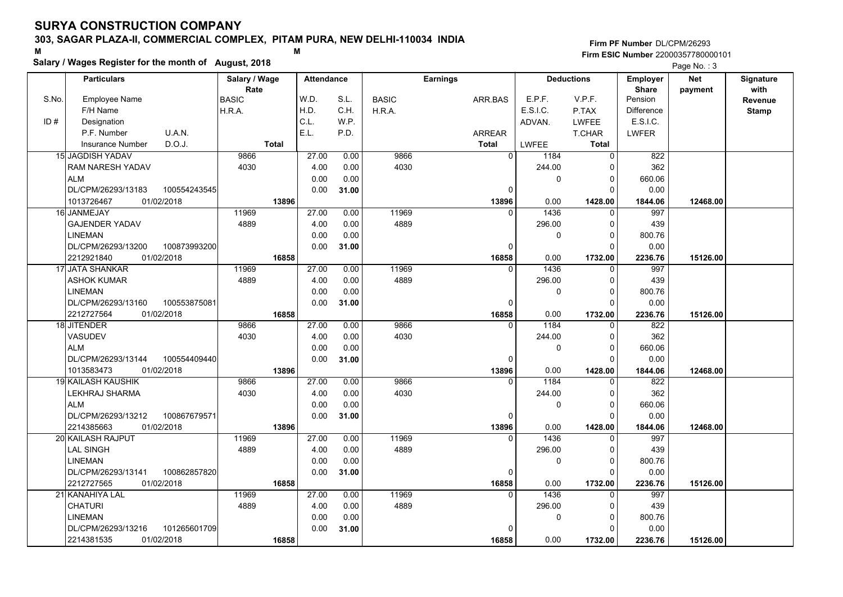#### **303, SAGAR PLAZA-II, COMMERCIAL COMPLEX, PITAM PURA, NEW DELHI-110034 INDIA**

**Salary / Wages Register for the month of August, 2018 <sup>M</sup> <sup>M</sup>**

**Firm PF Number**DL/CPM/26293**Firm ESIC Number** 22000357780000101

|       | <b>Particulars</b>        |              | Salary / Wage<br>Rate |              | <b>Attendance</b> |       |              | <b>Earnings</b> |              |          | <b>Deductions</b> | Employer<br><b>Share</b> | <b>Net</b> | Signature<br>with |
|-------|---------------------------|--------------|-----------------------|--------------|-------------------|-------|--------------|-----------------|--------------|----------|-------------------|--------------------------|------------|-------------------|
| S.No. | Employee Name             |              | BASIC                 |              | W.D.              | S.L.  | <b>BASIC</b> | ARR BAS         |              | E.P.F.   | V.P.F.            | Pension                  | payment    | Revenue           |
|       | F/H Name                  |              | H.R.A.                |              | H.D.              | C.H.  | H.R.A.       |                 |              | E.S.I.C. | P.TAX             | Difference               |            | <b>Stamp</b>      |
| ID#   | Designation               |              |                       |              | C.L.              | W.P.  |              |                 |              | ADVAN.   | <b>LWFEE</b>      | E.S.I.C.                 |            |                   |
|       | P.F. Number               | U.A.N.       |                       |              | E.L.              | P.D.  |              | <b>ARREAR</b>   |              |          | <b>T.CHAR</b>     | <b>LWFER</b>             |            |                   |
|       | <b>Insurance Number</b>   | D.O.J.       |                       | <b>Total</b> |                   |       |              | <b>Total</b>    |              | LWFEE    | <b>Total</b>      |                          |            |                   |
|       | 15 JAGDISH YADAV          |              | 9866                  |              | 27.00             | 0.00  | 9866         |                 | 0            | 1184     | $\mathbf 0$       | 822                      |            |                   |
|       | RAM NARESH YADAV          |              | 4030                  |              | 4.00              | 0.00  | 4030         |                 |              | 244.00   | 0                 | 362                      |            |                   |
|       | <b>ALM</b>                |              |                       |              | 0.00              | 0.00  |              |                 |              | $\Omega$ | $\mathbf 0$       | 660.06                   |            |                   |
|       | DL/CPM/26293/13183        | 100554243545 |                       |              | 0.00              | 31.00 |              |                 | 0            |          | $\Omega$          | 0.00                     |            |                   |
|       | 1013726467                | 01/02/2018   |                       | 13896        |                   |       |              |                 | 13896        | 0.00     | 1428.00           | 1844.06                  | 12468.00   |                   |
|       | 16 JANMEJAY               |              | 11969                 |              | 27.00             | 0.00  | 11969        |                 | $\Omega$     | 1436     | 0                 | 997                      |            |                   |
|       | <b>GAJENDER YADAV</b>     |              | 4889                  |              | 4.00              | 0.00  | 4889         |                 |              | 296.00   | $\mathbf 0$       | 439                      |            |                   |
|       | <b>LINEMAN</b>            |              |                       |              | 0.00              | 0.00  |              |                 |              | 0        | $\mathbf 0$       | 800.76                   |            |                   |
|       | DL/CPM/26293/13200        | 100873993200 |                       |              | 0.00              | 31.00 |              |                 | $\Omega$     |          | $\mathbf 0$       | 0.00                     |            |                   |
|       | 2212921840                | 01/02/2018   |                       | 16858        |                   |       |              |                 | 16858        | 0.00     | 1732.00           | 2236.76                  | 15126.00   |                   |
|       | 17 JATA SHANKAR           |              | 11969                 |              | 27.00             | 0.00  | 11969        |                 | $\Omega$     | 1436     | 0                 | 997                      |            |                   |
|       | <b>ASHOK KUMAR</b>        |              | 4889                  |              | 4.00              | 0.00  | 4889         |                 |              | 296.00   | $\mathbf 0$       | 439                      |            |                   |
|       | <b>LINEMAN</b>            |              |                       |              | 0.00              | 0.00  |              |                 |              | 0        | $\mathbf 0$       | 800.76                   |            |                   |
|       | DL/CPM/26293/13160        | 100553875081 |                       |              | 0.00              | 31.00 |              |                 | $\Omega$     |          | $\Omega$          | 0.00                     |            |                   |
|       | 2212727564                | 01/02/2018   |                       | 16858        |                   |       |              |                 | 16858        | 0.00     | 1732.00           | 2236.76                  | 15126.00   |                   |
|       | 18 JITENDER               |              | 9866                  |              | 27.00             | 0.00  | 9866         |                 | $\Omega$     | 1184     | $\mathbf 0$       | 822                      |            |                   |
|       | VASUDEV                   |              | 4030                  |              | 4.00              | 0.00  | 4030         |                 |              | 244.00   | $\mathbf 0$       | 362                      |            |                   |
|       | <b>ALM</b>                |              |                       |              | 0.00              | 0.00  |              |                 |              | 0        | $\mathbf 0$       | 660.06                   |            |                   |
|       | DL/CPM/26293/13144        | 100554409440 |                       |              | 0.00              | 31.00 |              |                 | 0            |          | $\mathbf 0$       | 0.00                     |            |                   |
|       | 1013583473                | 01/02/2018   |                       | 13896        |                   |       |              |                 | 13896        | 0.00     | 1428.00           | 1844.06                  | 12468.00   |                   |
|       | <b>19 KAILASH KAUSHIK</b> |              | 9866                  |              | 27.00             | 0.00  | 9866         |                 | $\Omega$     | 1184     | $\Omega$          | 822                      |            |                   |
|       | LEKHRAJ SHARMA            |              | 4030                  |              | 4.00              | 0.00  | 4030         |                 |              | 244.00   | $\Omega$          | 362                      |            |                   |
|       | <b>ALM</b>                |              |                       |              | 0.00              | 0.00  |              |                 |              | 0        | $\mathbf 0$       | 660.06                   |            |                   |
|       | DL/CPM/26293/13212        | 100867679571 |                       |              | 0.00              | 31.00 |              |                 | 0            |          | $\mathbf 0$       | 0.00                     |            |                   |
|       | 2214385663                | 01/02/2018   |                       | 13896        |                   |       |              |                 | 13896        | 0.00     | 1428.00           | 1844.06                  | 12468.00   |                   |
|       | 20 KAILASH RAJPUT         |              | 11969                 |              | 27.00             | 0.00  | 11969        |                 | $\Omega$     | 1436     | $\mathbf 0$       | 997                      |            |                   |
|       | <b>LAL SINGH</b>          |              | 4889                  |              | 4.00              | 0.00  | 4889         |                 |              | 296.00   | 0                 | 439                      |            |                   |
|       | <b>LINEMAN</b>            |              |                       |              | 0.00              | 0.00  |              |                 |              | 0        | $\mathbf 0$       | 800.76                   |            |                   |
|       | DL/CPM/26293/13141        | 100862857820 |                       |              | 0.00              | 31.00 |              |                 | 0            |          | $\Omega$          | 0.00                     |            |                   |
|       | 2212727565                | 01/02/2018   |                       | 16858        |                   |       |              |                 | 16858        | 0.00     | 1732.00           | 2236.76                  | 15126.00   |                   |
|       | 21 KANAHIYA LAL           |              | 11969                 |              | 27.00             | 0.00  | 11969        |                 | $\Omega$     | 1436     | 0                 | 997                      |            |                   |
|       | <b>CHATURI</b>            |              | 4889                  |              | 4.00              | 0.00  | 4889         |                 |              | 296.00   | 0                 | 439                      |            |                   |
|       | <b>LINEMAN</b>            |              |                       |              | 0.00              | 0.00  |              |                 |              | 0        | $\mathbf 0$       | 800.76                   |            |                   |
|       | DL/CPM/26293/13216        | 101265601709 |                       |              | 0.00              | 31.00 |              |                 | <sup>0</sup> |          | $\Omega$          | 0.00                     |            |                   |
|       | 2214381535                | 01/02/2018   |                       | 16858        |                   |       |              |                 | 16858        | 0.00     | 1732.00           | 2236.76                  | 15126.00   |                   |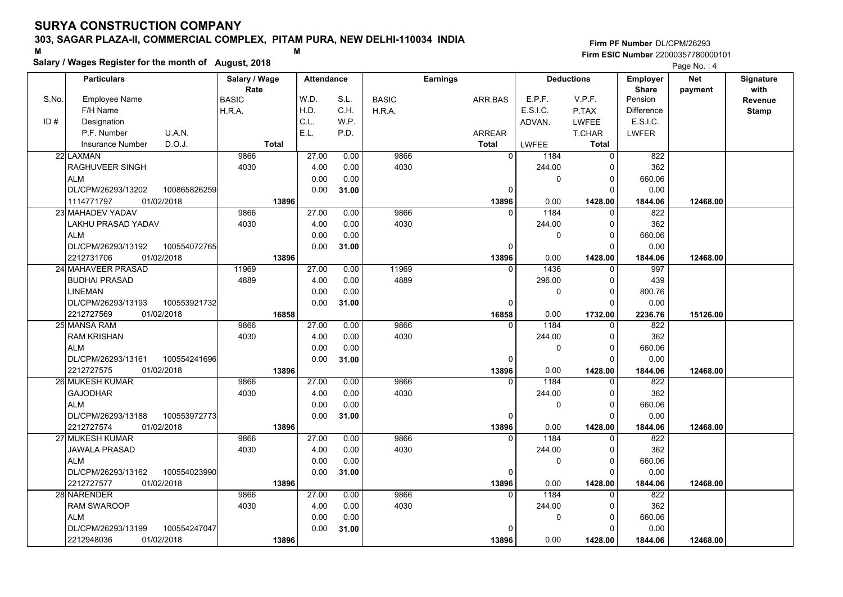#### **303, SAGAR PLAZA-II, COMMERCIAL COMPLEX, PITAM PURA, NEW DELHI-110034 INDIA**

**Salary / Wages Register for the month of August, 2018 <sup>M</sup> <sup>M</sup>**

|       | Salary / Wages Register for the month of August, 2018 |               |                   |       |              |                 |              |                   |                   | Page No.: 4 |                  |
|-------|-------------------------------------------------------|---------------|-------------------|-------|--------------|-----------------|--------------|-------------------|-------------------|-------------|------------------|
|       | <b>Particulars</b>                                    | Salary / Wage | <b>Attendance</b> |       |              | <b>Earnings</b> |              | <b>Deductions</b> | <b>Employer</b>   | Net         | <b>Signature</b> |
|       |                                                       | Rate          |                   |       |              |                 |              |                   | <b>Share</b>      | payment     | with             |
| S.No. | <b>Employee Name</b>                                  | <b>BASIC</b>  | W.D.              | S.L.  | <b>BASIC</b> | ARR.BAS         | E.P.F.       | V.P.F.            | Pension           |             | Revenue          |
|       | F/H Name                                              | H.R.A.        | H.D.              | C.H.  | H.R.A.       |                 | E.S.I.C.     | P.TAX             | <b>Difference</b> |             | <b>Stamp</b>     |
| ID#   | Designation                                           |               | C.L.              | W.P.  |              |                 | ADVAN.       | <b>LWFEE</b>      | E.S.I.C.          |             |                  |
|       | P.F. Number<br>U.A.N.                                 |               | E.L.              | P.D.  |              | ARREAR          |              | T.CHAR            | <b>LWFER</b>      |             |                  |
|       | D.O.J.<br><b>Insurance Number</b>                     | <b>Total</b>  |                   |       |              | <b>Total</b>    | <b>LWFEE</b> | <b>Total</b>      |                   |             |                  |
|       | 22 LAXMAN                                             | 9866          | 27.00             | 0.00  | 9866         | $\overline{0}$  | 1184         | 0                 | 822               |             |                  |
|       | RAGHUVEER SINGH                                       | 4030          | 4.00              | 0.00  | 4030         |                 | 244.00       | $\Omega$          | 362               |             |                  |
|       | <b>ALM</b>                                            |               | 0.00              | 0.00  |              |                 | 0            | 0                 | 660.06            |             |                  |
|       | DL/CPM/26293/13202<br>100865826259                    |               | 0.00              | 31.00 |              | $\mathbf{0}$    |              | $\Omega$          | 0.00              |             |                  |
|       | 1114771797<br>01/02/2018                              | 13896         |                   |       |              | 13896           | 0.00         | 1428.00           | 1844.06           | 12468.00    |                  |
|       | 23 MAHADEV YADAV                                      | 9866          | 27.00             | 0.00  | 9866         | $\Omega$        | 1184         | $\Omega$          | 822               |             |                  |
|       | LAKHU PRASAD YADAV                                    | 4030          | 4.00              | 0.00  | 4030         |                 | 244.00       | $\Omega$          | 362               |             |                  |
|       | <b>ALM</b>                                            |               | 0.00              | 0.00  |              |                 | 0            | $\Omega$          | 660.06            |             |                  |
|       | DL/CPM/26293/13192<br>100554072765                    |               | 0.00              | 31.00 |              | 0               |              | $\Omega$          | 0.00              |             |                  |
|       | 2212731706<br>01/02/2018                              | 13896         |                   |       |              | 13896           | 0.00         | 1428.00           | 1844.06           | 12468.00    |                  |
|       | 24 MAHAVEER PRASAD                                    | 11969         | 27.00             | 0.00  | 11969        | $\Omega$        | 1436         | $\mathbf{0}$      | 997               |             |                  |
|       | <b>BUDHAI PRASAD</b>                                  | 4889          | 4.00              | 0.00  | 4889         |                 | 296.00       | $\Omega$          | 439               |             |                  |
|       | LINEMAN                                               |               | 0.00              | 0.00  |              |                 | 0            | $\Omega$          | 800.76            |             |                  |
|       | DL/CPM/26293/13193<br>100553921732                    |               | 0.00              | 31.00 |              | $\Omega$        |              | ∩                 | 0.00              |             |                  |
|       | 2212727569<br>01/02/2018                              | 16858         |                   |       |              | 16858           | 0.00         | 1732.00           | 2236.76           | 15126.00    |                  |
|       | 25 MANSA RAM                                          | 9866          | 27.00             | 0.00  | 9866         | $\Omega$        | 1184         |                   | 822               |             |                  |
|       | <b>RAM KRISHAN</b>                                    | 4030          | 4.00              | 0.00  | 4030         |                 | 244.00       | $\Omega$          | 362               |             |                  |
|       | <b>ALM</b>                                            |               | 0.00              | 0.00  |              |                 | 0            | $\Omega$          | 660.06            |             |                  |
|       | DL/CPM/26293/13161<br>100554241696                    |               | 0.00              | 31.00 |              | $\mathbf 0$     |              | $\Omega$          | 0.00              |             |                  |
|       | 01/02/2018<br>2212727575                              | 13896         |                   |       |              | 13896           | 0.00         | 1428.00           | 1844.06           | 12468.00    |                  |
|       | 26 MUKESH KUMAR                                       | 9866          | 27.00             | 0.00  | 9866         | $\Omega$        | 1184         | $\Omega$          | 822               |             |                  |
|       | <b>GAJODHAR</b>                                       | 4030          | 4.00              | 0.00  | 4030         |                 | 244.00       | $\Omega$          | 362               |             |                  |
|       | <b>ALM</b>                                            |               | 0.00              | 0.00  |              |                 | 0            | $\Omega$          | 660.06            |             |                  |
|       | DL/CPM/26293/13188<br>100553972773                    |               | 0.00              | 31.00 |              | $\Omega$        |              | $\Omega$          | 0.00              |             |                  |
|       | 2212727574<br>01/02/2018                              | 13896         |                   |       |              | 13896           | 0.00         | 1428.00           | 1844.06           | 12468.00    |                  |
|       | 27 MUKESH KUMAR                                       | 9866          | 27.00             | 0.00  | 9866         | $\Omega$        | 1184         | 0                 | 822               |             |                  |
|       | <b>JAWALA PRASAD</b>                                  | 4030          | 4.00              | 0.00  | 4030         |                 | 244.00       | $\Omega$          | 362               |             |                  |
|       | <b>ALM</b>                                            |               | 0.00              | 0.00  |              |                 | 0            | $\Omega$          | 660.06            |             |                  |
|       | 100554023990<br>DL/CPM/26293/13162                    |               | 0.00              | 31.00 |              | $\Omega$        |              | $\Omega$          | 0.00              |             |                  |
|       | 2212727577<br>01/02/2018                              | 13896         |                   |       |              | 13896           | 0.00         | 1428.00           | 1844.06           | 12468.00    |                  |
|       | 28 NARENDER                                           | 9866          | 27.00             | 0.00  | 9866         | $\Omega$        | 1184         | U                 | 822               |             |                  |
|       | <b>RAM SWAROOP</b>                                    | 4030          | 4.00              | 0.00  | 4030         |                 | 244.00       | $\Omega$          | 362               |             |                  |
|       | <b>ALM</b>                                            |               | 0.00              | 0.00  |              |                 | 0            | 0                 | 660.06            |             |                  |
|       | DL/CPM/26293/13199<br>100554247047                    |               | 0.00              | 31.00 |              | $\Omega$        |              |                   | 0.00              |             |                  |
|       | 2212948036<br>01/02/2018                              | 13896         |                   |       |              | 13896           | 0.00         | 1428.00           | 1844.06           | 12468.00    |                  |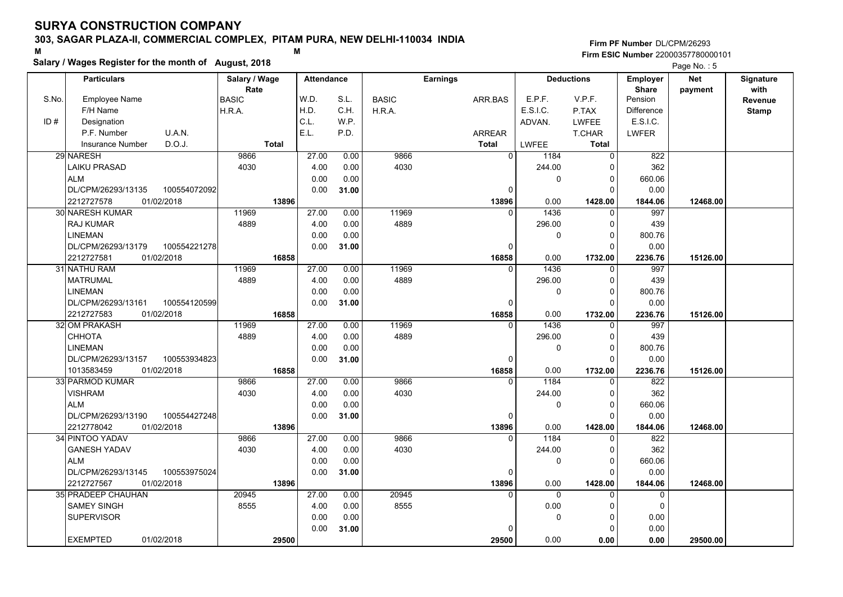#### **303, SAGAR PLAZA-II, COMMERCIAL COMPLEX, PITAM PURA, NEW DELHI-110034 INDIA**

**Salary / Wages Register for the month of August, 2018 <sup>M</sup> <sup>M</sup>**

**Firm PF Number**DL/CPM/26293**Firm ESIC Number** 22000357780000101

|       | <b>Particulars</b>                 | Salary / Wage        | <b>Attendance</b> |       |              | <b>Earnings</b> |                | <b>Deductions</b> | Employer                | Net      | Signature       |
|-------|------------------------------------|----------------------|-------------------|-------|--------------|-----------------|----------------|-------------------|-------------------------|----------|-----------------|
| S.No. | Employee Name                      | Rate<br><b>BASIC</b> | W.D.              | S.L.  | <b>BASIC</b> | ARR.BAS         | E.P.F.         | V.P.F.            | <b>Share</b><br>Pension | payment  | with<br>Revenue |
|       | F/H Name                           | H.R.A.               | H.D.              | C.H.  | H.R.A.       |                 | E.S.I.C.       | P.TAX             | <b>Difference</b>       |          | <b>Stamp</b>    |
| ID#   | Designation                        |                      | C.L.              | W.P.  |              |                 | ADVAN.         | <b>LWFEE</b>      | E.S.I.C.                |          |                 |
|       | U.A.N.<br>P.F. Number              |                      | E.L.              | P.D.  |              | <b>ARREAR</b>   |                | <b>T.CHAR</b>     | <b>LWFER</b>            |          |                 |
|       | D.O.J.<br><b>Insurance Number</b>  | <b>Total</b>         |                   |       |              | <b>Total</b>    | <b>LWFEE</b>   | <b>Total</b>      |                         |          |                 |
|       | 29 NARESH                          | 9866                 | 27.00             | 0.00  | 9866         | $\Omega$        | 1184           | $\Omega$          | 822                     |          |                 |
|       | <b>LAIKU PRASAD</b>                | 4030                 | 4.00              | 0.00  | 4030         |                 | 244.00         | $\Omega$          | 362                     |          |                 |
|       | <b>ALM</b>                         |                      | 0.00              | 0.00  |              |                 | 0              | 0                 | 660.06                  |          |                 |
|       | DL/CPM/26293/13135<br>100554072092 |                      | 0.00              | 31.00 |              | $\Omega$        |                | $\Omega$          | 0.00                    |          |                 |
|       | 2212727578<br>01/02/2018           |                      | 13896             |       |              | 13896           | 0.00           | 1428.00           | 1844.06                 | 12468.00 |                 |
|       | 30 NARESH KUMAR                    | 11969                | 27.00             | 0.00  | 11969        | $\Omega$        | 1436           | $\Omega$          | 997                     |          |                 |
|       | <b>RAJ KUMAR</b>                   | 4889                 | 4.00              | 0.00  | 4889         |                 | 296.00         | $\Omega$          | 439                     |          |                 |
|       | <b>LINEMAN</b>                     |                      | 0.00              | 0.00  |              |                 | 0              | $\Omega$          | 800.76                  |          |                 |
|       | DL/CPM/26293/13179<br>100554221278 |                      | 0.00              | 31.00 |              | $\Omega$        |                | $\Omega$          | 0.00                    |          |                 |
|       | 2212727581<br>01/02/2018           |                      | 16858             |       |              | 16858           | 0.00           | 1732.00           | 2236.76                 | 15126.00 |                 |
|       | 31 NATHU RAM                       | 11969                | 27.00             | 0.00  | 11969        | $\Omega$        | 1436           | $\Omega$          | 997                     |          |                 |
|       | <b>MATRUMAL</b>                    | 4889                 | 4.00              | 0.00  | 4889         |                 | 296.00         | $\Omega$          | 439                     |          |                 |
|       | <b>LINEMAN</b>                     |                      | 0.00              | 0.00  |              |                 | $\mathbf 0$    | $\Omega$          | 800.76                  |          |                 |
|       | DL/CPM/26293/13161<br>100554120599 |                      | 0.00              | 31.00 |              | $\Omega$        |                | $\Omega$          | 0.00                    |          |                 |
|       | 2212727583<br>01/02/2018           |                      | 16858             |       |              | 16858           | 0.00           | 1732.00           | 2236.76                 | 15126.00 |                 |
|       | 32 OM PRAKASH                      | 11969                | 27.00             | 0.00  | 11969        | $\Omega$        | 1436           | $\Omega$          | 997                     |          |                 |
|       | CHHOTA                             | 4889                 | 4.00              | 0.00  | 4889         |                 | 296.00         | $\Omega$          | 439                     |          |                 |
|       | <b>LINEMAN</b>                     |                      | 0.00              | 0.00  |              |                 | $\mathbf 0$    | $\Omega$          | 800.76                  |          |                 |
|       | DL/CPM/26293/13157<br>100553934823 |                      | 0.00              | 31.00 |              | $\Omega$        |                | $\Omega$          | 0.00                    |          |                 |
|       | 1013583459<br>01/02/2018           |                      | 16858             |       |              | 16858           | 0.00           | 1732.00           | 2236.76                 | 15126.00 |                 |
|       | 33 PARMOD KUMAR                    | 9866                 | 27.00             | 0.00  | 9866         | $\Omega$        | 1184           | U                 | 822                     |          |                 |
|       | <b>VISHRAM</b>                     | 4030                 | 4.00              | 0.00  | 4030         |                 | 244.00         | $\Omega$          | 362                     |          |                 |
|       | <b>ALM</b>                         |                      | 0.00              | 0.00  |              |                 | $\mathbf 0$    | $\mathbf 0$       | 660.06                  |          |                 |
|       | DL/CPM/26293/13190<br>100554427248 |                      | 0.00              | 31.00 |              | $\Omega$        |                | $\Omega$          | 0.00                    |          |                 |
|       | 2212778042<br>01/02/2018           |                      | 13896             |       |              | 13896           | 0.00           | 1428.00           | 1844.06                 | 12468.00 |                 |
|       | 34 PINTOO YADAV                    | 9866                 | 27.00             | 0.00  | 9866         |                 | 1184           | U                 | 822                     |          |                 |
|       | <b>GANESH YADAV</b>                | 4030                 | 4.00              | 0.00  | 4030         |                 | 244.00         | 0                 | 362                     |          |                 |
|       | <b>ALM</b>                         |                      | 0.00              | 0.00  |              |                 | $\pmb{0}$      | $\Omega$          | 660.06                  |          |                 |
|       | DL/CPM/26293/13145<br>100553975024 |                      | 0.00              | 31.00 |              | $\Omega$        |                | $\Omega$          | 0.00                    |          |                 |
|       | 2212727567<br>01/02/2018           |                      | 13896             |       |              | 13896           | 0.00           | 1428.00           | 1844.06                 | 12468.00 |                 |
|       | 35 PRADEEP CHAUHAN                 | 20945                | 27.00             | 0.00  | 20945        | $\Omega$        | $\overline{0}$ | $\Omega$          | $\mathbf 0$             |          |                 |
|       | <b>SAMEY SINGH</b>                 | 8555                 | 4.00              | 0.00  | 8555         |                 | 0.00           | 0                 | 0                       |          |                 |
|       | <b>SUPERVISOR</b>                  |                      | 0.00              | 0.00  |              |                 | 0              | $\Omega$          | 0.00                    |          |                 |
|       |                                    |                      | 0.00              | 31.00 |              |                 |                | $\Omega$          | 0.00                    |          |                 |
|       | <b>EXEMPTED</b><br>01/02/2018      |                      | 29500             |       |              | 29500           | 0.00           | 0.00              | 0.00                    | 29500.00 |                 |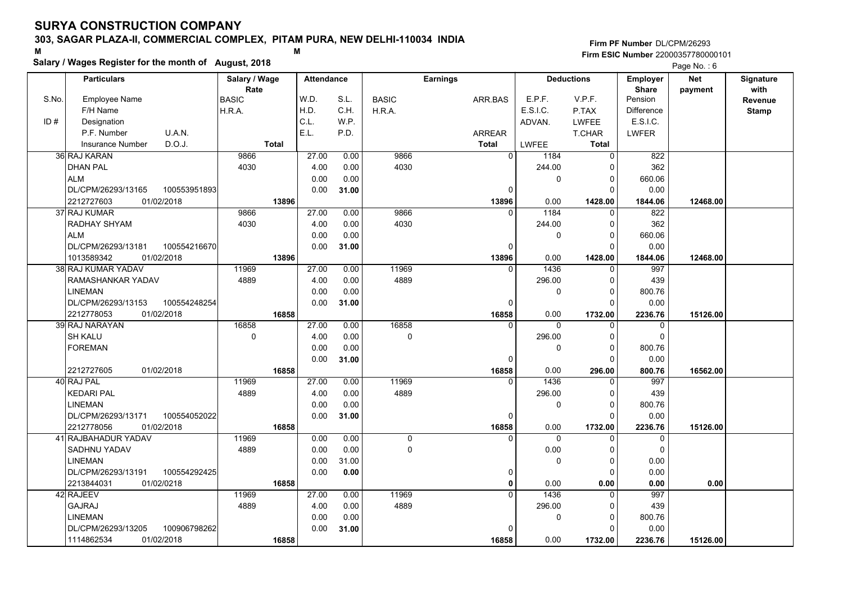#### **303, SAGAR PLAZA-II, COMMERCIAL COMPLEX, PITAM PURA, NEW DELHI-110034 INDIA**

**Salary / Wages Register for the month of August, 2018 <sup>M</sup> <sup>M</sup>**

**Firm PF Number**DL/CPM/26293**Firm ESIC Number** 22000357780000101

|       | <b>Particulars</b>                                             | Salary / Wage<br>Rate | <b>Attendance</b> |       |              | <b>Earnings</b> |                            | <b>Deductions</b>       | <b>Employer</b><br><b>Share</b> | <b>Net</b> | Signature<br>with |
|-------|----------------------------------------------------------------|-----------------------|-------------------|-------|--------------|-----------------|----------------------------|-------------------------|---------------------------------|------------|-------------------|
| S.No. | Employee Name                                                  | BASIC                 | W.D.              | S.L.  | <b>BASIC</b> | ARR.BAS         | E.P.F.                     | V.P.F.                  | Pension                         | payment    | Revenue           |
|       | F/H Name                                                       | H.R.A.                | H.D.              | C.H.  | H.R.A.       |                 | E.S.I.C.                   | P.TAX                   | <b>Difference</b>               |            | <b>Stamp</b>      |
| ID#   | Designation                                                    |                       | C.L.              | W.P.  |              |                 | ADVAN.                     | <b>LWFEE</b>            | E.S.I.C.                        |            |                   |
|       | U.A.N.<br>P.F. Number                                          |                       | E.L.              | P.D.  |              | ARREAR          |                            | T.CHAR                  | <b>LWFER</b>                    |            |                   |
|       | D.O.J.<br><b>Insurance Number</b>                              | <b>Total</b>          |                   |       |              | <b>Total</b>    | LWFEE                      | Total                   |                                 |            |                   |
|       | 36 RAJ KARAN                                                   | 9866                  | 27.00             | 0.00  | 9866         |                 | $\mathbf 0$<br>1184        | $\mathbf 0$             | 822                             |            |                   |
|       | <b>DHAN PAL</b>                                                | 4030                  | 4.00              | 0.00  | 4030         |                 | 244.00                     | 0                       | 362                             |            |                   |
|       | <b>ALM</b>                                                     |                       | 0.00              | 0.00  |              |                 | 0                          | $\Omega$                | 660.06                          |            |                   |
|       | DL/CPM/26293/13165<br>100553951893                             |                       | 0.00              | 31.00 |              |                 | 0                          | $\Omega$                | 0.00                            |            |                   |
|       | 01/02/2018<br>2212727603                                       | 13896                 |                   |       |              | 13896           | 0.00                       | 1428.00                 | 1844.06                         | 12468.00   |                   |
|       | 37 RAJ KUMAR                                                   | 9866                  | 27.00             | 0.00  | 9866         |                 | 1184<br>$\Omega$           | $\mathbf 0$             | 822                             |            |                   |
|       | RADHAY SHYAM                                                   | 4030                  | 4.00              | 0.00  | 4030         |                 | 244.00                     | $\mathbf 0$             | 362                             |            |                   |
|       | <b>ALM</b>                                                     |                       | 0.00              | 0.00  |              |                 | 0                          | $\Omega$                | 660.06                          |            |                   |
|       | DL/CPM/26293/13181<br>100554216670                             |                       | 0.00              | 31.00 |              |                 | 0                          | $\Omega$                | 0.00                            |            |                   |
|       | 1013589342<br>01/02/2018                                       | 13896                 |                   |       |              | 13896           | 0.00                       | 1428.00                 | 1844.06                         | 12468.00   |                   |
|       | 38 RAJ KUMAR YADAV                                             | 11969                 | 27.00             | 0.00  | 11969        |                 | 1436                       | $\Omega$                | 997                             |            |                   |
|       | RAMASHANKAR YADAV                                              | 4889                  | 4.00              | 0.00  | 4889         |                 | 296.00                     | $\mathbf 0$             | 439                             |            |                   |
|       | <b>LINEMAN</b>                                                 |                       | 0.00              | 0.00  |              |                 | 0                          | $\Omega$                | 800.76                          |            |                   |
|       | DL/CPM/26293/13153<br>100554248254                             |                       | 0.00              | 31.00 |              |                 | $\Omega$                   | $\Omega$                | 0.00                            |            |                   |
|       | 2212778053<br>01/02/2018                                       | 16858                 |                   |       |              | 16858           | 0.00                       | 1732.00                 | 2236.76                         | 15126.00   |                   |
|       | 39 RAJ NARAYAN                                                 | 16858                 | 27.00             | 0.00  | 16858        |                 | $\overline{0}$<br>$\Omega$ | $\Omega$                | 0                               |            |                   |
|       | <b>SH KALU</b>                                                 | 0                     | 4.00              | 0.00  | $\pmb{0}$    |                 | 296.00                     | $\mathbf 0$             | $\mathbf 0$                     |            |                   |
|       | <b>FOREMAN</b>                                                 |                       | 0.00              | 0.00  |              |                 | 0                          | $\Omega$                | 800.76                          |            |                   |
|       |                                                                |                       | 0.00              | 31.00 |              |                 | 0                          | $\Omega$                | 0.00                            |            |                   |
|       | 2212727605<br>01/02/2018                                       | 16858                 |                   |       |              | 16858           | 0.00                       | 296.00                  | 800.76                          | 16562.00   |                   |
|       | 40 RAJ PAL                                                     | 11969                 | 27.00             | 0.00  | 11969        |                 | 1436<br>$\Omega$           | $\Omega$                | 997                             |            |                   |
|       | <b>KEDARI PAL</b>                                              | 4889                  | 4.00              | 0.00  | 4889         |                 | 296.00                     | 0                       | 439                             |            |                   |
|       | <b>LINEMAN</b>                                                 |                       | 0.00              | 0.00  |              |                 | 0                          | 0                       | 800.76                          |            |                   |
|       | DL/CPM/26293/13171<br>100554052022                             |                       | 0.00              | 31.00 |              |                 | $\Omega$                   | $\Omega$                | 0.00                            |            |                   |
|       | 2212778056<br>01/02/2018                                       | 16858                 |                   |       |              | 16858           | 0.00<br>$\Omega$           | 1732.00                 | 2236.76                         | 15126.00   |                   |
|       | 41 RAJBAHADUR YADAV                                            | 11969                 | 0.00              | 0.00  | 0            |                 | $\Omega$                   | 0                       | 0                               |            |                   |
|       | SADHNU YADAV<br><b>LINEMAN</b>                                 | 4889                  | 0.00<br>0.00      | 0.00  | 0            |                 | 0.00                       | $\mathbf 0$             | $\mathbf 0$<br>0.00             |            |                   |
|       |                                                                |                       |                   | 31.00 |              |                 | 0                          | $\mathbf 0$<br>$\Omega$ |                                 |            |                   |
|       | DL/CPM/26293/13191<br>100554292425<br>2213844031<br>01/02/0218 | 16858                 | 0.00              | 0.00  |              |                 | 0<br>0.00<br>$\mathbf{0}$  | 0.00                    | 0.00<br>0.00                    | 0.00       |                   |
|       | 42 RAJEEV                                                      | 11969                 | 27.00             | 0.00  | 11969        |                 | 1436<br>$\Omega$           | 0                       | 997                             |            |                   |
|       | <b>GAJRAJ</b>                                                  | 4889                  | 4.00              | 0.00  | 4889         |                 | 296.00                     | $\mathbf 0$             | 439                             |            |                   |
|       | <b>LINEMAN</b>                                                 |                       | 0.00              | 0.00  |              |                 | 0                          | $\Omega$                | 800.76                          |            |                   |
|       | DL/CPM/26293/13205<br>100906798262                             |                       | 0.00              | 31.00 |              |                 | 0                          | $\Omega$                | 0.00                            |            |                   |
|       | 1114862534<br>01/02/2018                                       | 16858                 |                   |       |              | 16858           | 0.00                       | 1732.00                 | 2236.76                         | 15126.00   |                   |
|       |                                                                |                       |                   |       |              |                 |                            |                         |                                 |            |                   |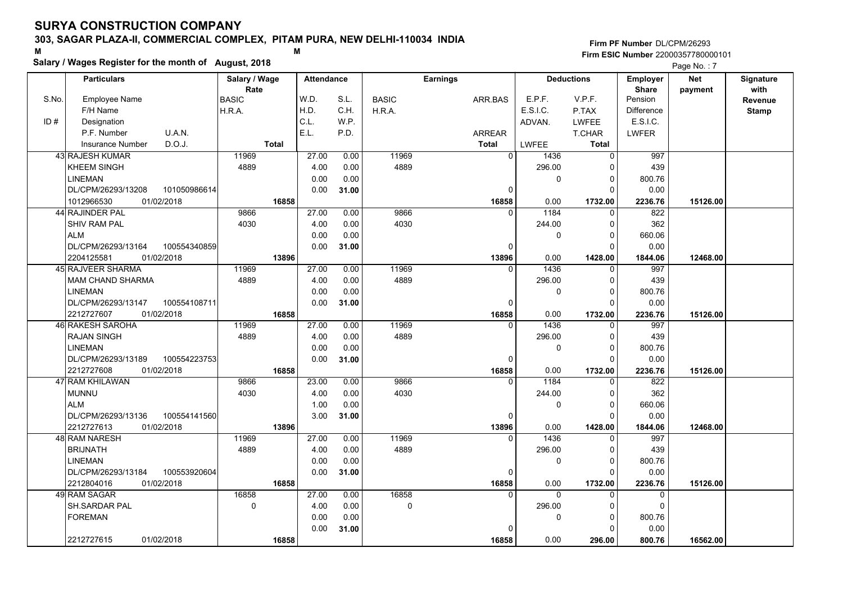#### **303, SAGAR PLAZA-II, COMMERCIAL COMPLEX, PITAM PURA, NEW DELHI-110034 INDIA**

**Salary / Wages Register for the month of August, 2018 <sup>M</sup> <sup>M</sup>**

|       | Salary / Wages Register for the month of August, 2018 |               |                   |       |              |                 |              |                   |                   | Page No.: 7 |                  |
|-------|-------------------------------------------------------|---------------|-------------------|-------|--------------|-----------------|--------------|-------------------|-------------------|-------------|------------------|
|       | <b>Particulars</b>                                    | Salary / Wage | <b>Attendance</b> |       |              | <b>Earnings</b> |              | <b>Deductions</b> | Employer          | <b>Net</b>  | <b>Signature</b> |
|       |                                                       | Rate          |                   |       |              |                 |              |                   | <b>Share</b>      | payment     | with             |
| S.No. | <b>Employee Name</b>                                  | <b>BASIC</b>  | W.D.              | S.L.  | <b>BASIC</b> | ARR.BAS         | E.P.F.       | V.P.F.            | Pension           |             | Revenue          |
|       | F/H Name                                              | H.R.A.        | H.D.              | C.H.  | H.R.A.       |                 | E.S.I.C.     | P.TAX             | <b>Difference</b> |             | <b>Stamp</b>     |
| ID#   | Designation                                           |               | C.L.              | W.P.  |              |                 | ADVAN.       | <b>LWFEE</b>      | E.S.I.C.          |             |                  |
|       | P.F. Number<br>U.A.N.                                 |               | E.L.              | P.D.  |              | ARREAR          |              | T.CHAR            | <b>LWFER</b>      |             |                  |
|       | D.O.J.<br><b>Insurance Number</b>                     | <b>Total</b>  |                   |       |              | <b>Total</b>    | <b>LWFEE</b> | <b>Total</b>      |                   |             |                  |
|       | 43 RAJESH KUMAR                                       | 11969         | 27.00             | 0.00  | 11969        | $\overline{0}$  | 1436         | $\overline{0}$    | 997               |             |                  |
|       | <b>KHEEM SINGH</b>                                    | 4889          | 4.00              | 0.00  | 4889         |                 | 296.00       |                   | 439               |             |                  |
|       | <b>LINEMAN</b>                                        |               | 0.00              | 0.00  |              |                 | $\mathbf{0}$ | 0                 | 800.76            |             |                  |
|       | 101050986614<br>DL/CPM/26293/13208                    |               | 0.00              | 31.00 |              | $\Omega$        |              | $\Omega$          | 0.00              |             |                  |
|       | 01/02/2018<br>1012966530                              | 16858         |                   |       |              | 16858           | 0.00         | 1732.00           | 2236.76           | 15126.00    |                  |
|       | 44 RAJINDER PAL                                       | 9866          | 27.00             | 0.00  | 9866         | $\Omega$        | 1184         | 0                 | 822               |             |                  |
|       | <b>SHIV RAM PAL</b>                                   | 4030          | 4.00              | 0.00  | 4030         |                 | 244.00       | 0                 | 362               |             |                  |
|       | <b>ALM</b>                                            |               | 0.00              | 0.00  |              |                 | $\mathbf{0}$ | $\Omega$          | 660.06            |             |                  |
|       | DL/CPM/26293/13164<br>100554340859                    |               | 0.00              | 31.00 |              | $\Omega$        |              | $\Omega$          | 0.00              |             |                  |
|       | 2204125581<br>01/02/2018                              | 13896         |                   |       |              | 13896           | 0.00         | 1428.00           | 1844.06           | 12468.00    |                  |
|       | 45 RAJVEER SHARMA                                     | 11969         | 27.00             | 0.00  | 11969        | $\Omega$        | 1436         | $\Omega$          | 997               |             |                  |
|       | <b>MAM CHAND SHARMA</b>                               | 4889          | 4.00              | 0.00  | 4889         |                 | 296.00       | 0                 | 439               |             |                  |
|       | LINEMAN                                               |               | 0.00              | 0.00  |              |                 | 0            | $\Omega$          | 800.76            |             |                  |
|       | DL/CPM/26293/13147<br>100554108711                    |               | 0.00              | 31.00 |              | $\Omega$        |              | $\Omega$          | 0.00              |             |                  |
|       | 2212727607<br>01/02/2018                              | 16858         |                   |       |              | 16858           | 0.00         | 1732.00           | 2236.76           | 15126.00    |                  |
|       | 46 RAKESH SAROHA                                      | 11969         | 27.00             | 0.00  | 11969        | $\Omega$        | 1436         | $\Omega$          | 997               |             |                  |
|       | <b>RAJAN SINGH</b>                                    | 4889          | 4.00              | 0.00  | 4889         |                 | 296.00       |                   | 439               |             |                  |
|       | <b>LINEMAN</b>                                        |               | 0.00              | 0.00  |              |                 | $\mathbf{0}$ | $\Omega$          | 800.76            |             |                  |
|       | DL/CPM/26293/13189<br>100554223753                    |               | 0.00              | 31.00 |              | 0               |              | $\Omega$          | 0.00              |             |                  |
|       | 01/02/2018<br>2212727608                              | 16858         |                   |       |              | 16858           | 0.00         | 1732.00           | 2236.76           | 15126.00    |                  |
|       | 47 RAM KHILAWAN                                       | 9866          | 23.00             | 0.00  | 9866         |                 | 1184         | $\Omega$          | 822               |             |                  |
|       | <b>MUNNU</b>                                          | 4030          | 4.00              | 0.00  | 4030         |                 | 244.00       | 0                 | 362               |             |                  |
|       | <b>ALM</b>                                            |               | 1.00              | 0.00  |              |                 | $\Omega$     | $\Omega$          | 660.06            |             |                  |
|       | DL/CPM/26293/13136<br>100554141560                    |               | 3.00              | 31.00 |              | $\Omega$        |              | $\Omega$          | 0.00              |             |                  |
|       | 2212727613<br>01/02/2018                              | 13896         |                   |       |              | 13896           | 0.00         | 1428.00           | 1844.06           | 12468.00    |                  |
|       | 48 RAM NARESH                                         | 11969         | 27.00             | 0.00  | 11969        | $\Omega$        | 1436         | 0                 | 997               |             |                  |
|       | <b>BRIJNATH</b>                                       | 4889          | 4.00              | 0.00  | 4889         |                 | 296.00       | $\Omega$          | 439               |             |                  |
|       | <b>LINEMAN</b>                                        |               | 0.00              | 0.00  |              |                 | $\mathbf{0}$ | $\Omega$          | 800.76            |             |                  |
|       | DL/CPM/26293/13184<br>100553920604                    |               | 0.00              | 31.00 |              | $\Omega$        |              | $\Omega$          | 0.00              |             |                  |
|       | 2212804016<br>01/02/2018                              | 16858         |                   |       |              | 16858           | 0.00         | 1732.00           | 2236.76           | 15126.00    |                  |
|       | 49 RAM SAGAR                                          | 16858         | 27.00             | 0.00  | 16858        | $\Omega$        | $\Omega$     | $\Omega$          | $\Omega$          |             |                  |
|       | SH.SARDAR PAL                                         | $\Omega$      | 4.00              | 0.00  | $\Omega$     |                 | 296.00       |                   | $\Omega$          |             |                  |
|       | <b>FOREMAN</b>                                        |               | 0.00              | 0.00  |              |                 | 0            | $\Omega$          | 800.76            |             |                  |
|       |                                                       |               | 0.00              | 31.00 |              |                 |              |                   | 0.00              |             |                  |
|       | 2212727615<br>01/02/2018                              | 16858         |                   |       |              | 16858           | 0.00         | 296.00            | 800.76            | 16562.00    |                  |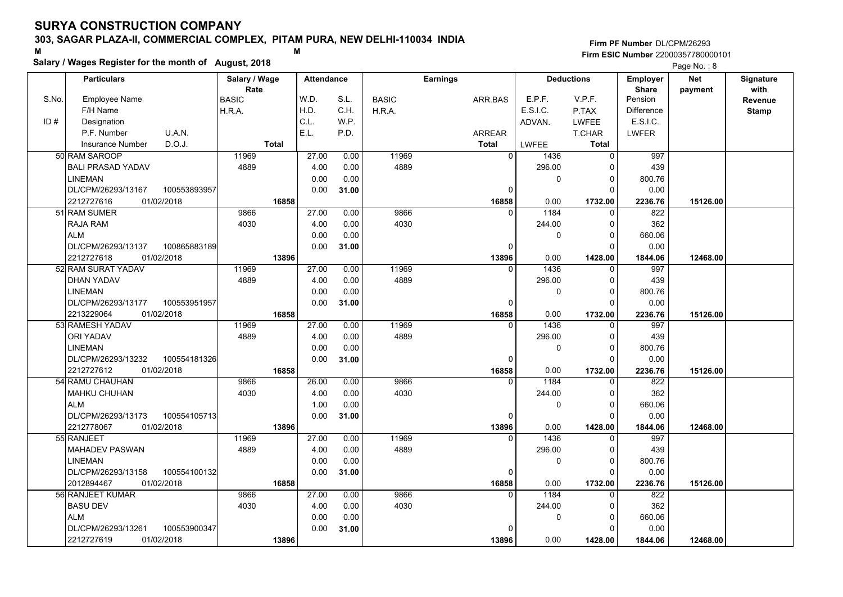### **303, SAGAR PLAZA-II, COMMERCIAL COMPLEX, PITAM PURA, NEW DELHI-110034 INDIA**

# **Salary / Wages Register for the month of August, 2018 <sup>M</sup> <sup>M</sup>**

|       | Salary / wages Register for the month of August, 2018 |               |                   |       |              |                 |          |                   |                   | Page No.: 8 |              |
|-------|-------------------------------------------------------|---------------|-------------------|-------|--------------|-----------------|----------|-------------------|-------------------|-------------|--------------|
|       | <b>Particulars</b>                                    | Salary / Wage | <b>Attendance</b> |       |              | <b>Earnings</b> |          | <b>Deductions</b> | <b>Employer</b>   | <b>Net</b>  | Signature    |
|       |                                                       | Rate          |                   |       |              |                 |          |                   | <b>Share</b>      | payment     | with         |
| S.No. | <b>Employee Name</b>                                  | <b>BASIC</b>  | W.D.              | S.L.  | <b>BASIC</b> | ARR.BAS         | E.P.F.   | V.P.F.            | Pension           |             | Revenue      |
|       | F/H Name                                              | H.R.A.        | H.D.              | C.H.  | H.R.A.       |                 | E.S.I.C. | P.TAX             | <b>Difference</b> |             | <b>Stamp</b> |
| ID#   | Designation                                           |               | C.L.              | W.P.  |              |                 | ADVAN.   | <b>LWFEE</b>      | E.S.I.C.          |             |              |
|       | U.A.N.<br>P.F. Number                                 |               | E.L.              | P.D.  |              | <b>ARREAR</b>   |          | T.CHAR            | <b>LWFER</b>      |             |              |
|       | D.O.J.<br><b>Insurance Number</b>                     | <b>Total</b>  |                   |       |              | <b>Total</b>    | LWFEE    | <b>Total</b>      |                   |             |              |
|       | 50 RAM SAROOP                                         | 11969         | 27.00             | 0.00  | 11969        | $\Omega$        | 1436     | $\Omega$          | 997               |             |              |
|       | <b>BALI PRASAD YADAV</b>                              | 4889          | 4.00              | 0.00  | 4889         |                 | 296.00   | 0                 | 439               |             |              |
|       | <b>LINEMAN</b>                                        |               | 0.00              | 0.00  |              |                 | 0        | 0                 | 800.76            |             |              |
|       | DL/CPM/26293/13167<br>100553893957                    |               | 0.00              | 31.00 |              | 0               |          | 0                 | 0.00              |             |              |
|       | 2212727616<br>01/02/2018                              | 16858         |                   |       |              | 16858           | 0.00     | 1732.00           | 2236.76           | 15126.00    |              |
|       | 51 RAM SUMER                                          | 9866          | 27.00             | 0.00  | 9866         | $\Omega$        | 1184     | $\Omega$          | 822               |             |              |
|       | RAJA RAM                                              | 4030          | 4.00              | 0.00  | 4030         |                 | 244.00   | 0                 | 362               |             |              |
|       | <b>ALM</b>                                            |               | 0.00              | 0.00  |              |                 | 0        | $\Omega$          | 660.06            |             |              |
|       | DL/CPM/26293/13137<br>100865883189                    |               | 0.00              | 31.00 |              | $\Omega$        |          | 0                 | 0.00              |             |              |
|       | 2212727618<br>01/02/2018                              | 13896         |                   |       |              | 13896           | 0.00     | 1428.00           | 1844.06           | 12468.00    |              |
|       | 52 RAM SURAT YADAV                                    | 11969         | 27.00             | 0.00  | 11969        | $\Omega$        | 1436     | 0                 | 997               |             |              |
|       | DHAN YADAV                                            | 4889          | 4.00              | 0.00  | 4889         |                 | 296.00   | $\Omega$          | 439               |             |              |
|       | <b>LINEMAN</b>                                        |               | 0.00              | 0.00  |              |                 | $\Omega$ | $\Omega$          | 800.76            |             |              |
|       | DL/CPM/26293/13177<br>100553951957                    |               | 0.00              | 31.00 |              | $\Omega$        |          | $\Omega$          | 0.00              |             |              |
|       | 2213229064<br>01/02/2018                              | 16858         |                   |       |              | 16858           | 0.00     | 1732.00           | 2236.76           | 15126.00    |              |
|       | 53 RAMESH YADAV                                       | 11969         | 27.00             | 0.00  | 11969        | $\Omega$        | 1436     | 0                 | 997               |             |              |
|       | <b>ORI YADAV</b>                                      | 4889          | 4.00              | 0.00  | 4889         |                 | 296.00   | 0                 | 439               |             |              |
|       | LINEMAN                                               |               | 0.00              | 0.00  |              |                 | 0        | 0                 | 800.76            |             |              |
|       | DL/CPM/26293/13232<br>100554181326                    |               | 0.00              | 31.00 |              | $\Omega$        |          | $\Omega$          | 0.00              |             |              |
|       | 2212727612<br>01/02/2018                              | 16858         |                   |       |              | 16858           | 0.00     | 1732.00           | 2236.76           | 15126.00    |              |
|       | 54 RAMU CHAUHAN                                       | 9866          | 26.00             | 0.00  | 9866         | $\Omega$        | 1184     | $\Omega$          | 822               |             |              |
|       | <b>MAHKU CHUHAN</b>                                   | 4030          | 4.00              | 0.00  | 4030         |                 | 244.00   | 0                 | 362               |             |              |
|       | <b>ALM</b>                                            |               | 1.00              | 0.00  |              |                 | $\Omega$ | $\Omega$          | 660.06            |             |              |
|       | DL/CPM/26293/13173<br>100554105713                    |               | 0.00              | 31.00 |              | 0               |          | 0                 | 0.00              |             |              |
|       | 01/02/2018<br>2212778067                              | 13896         |                   |       |              | 13896           | 0.00     | 1428.00           | 1844.06           | 12468.00    |              |
|       | 55 RANJEET                                            | 11969         | 27.00             | 0.00  | 11969        | $\Omega$        | 1436     | 0                 | 997               |             |              |
|       | <b>MAHADEV PASWAN</b>                                 | 4889          | 4.00              | 0.00  | 4889         |                 | 296.00   | $\Omega$          | 439               |             |              |
|       | <b>LINEMAN</b>                                        |               | 0.00              | 0.00  |              |                 | $\Omega$ | 0                 | 800.76            |             |              |
|       | DL/CPM/26293/13158<br>100554100132                    |               | 0.00              | 31.00 |              | $\Omega$        |          | $\Omega$          | 0.00              |             |              |
|       | 2012894467<br>01/02/2018                              | 16858         |                   |       |              | 16858           | 0.00     | 1732.00           | 2236.76           | 15126.00    |              |
|       | 56 RANJEET KUMAR                                      | 9866          | 27.00             | 0.00  | 9866         | $\Omega$        | 1184     | $\Omega$          | 822               |             |              |
|       | <b>BASU DEV</b>                                       | 4030          | 4.00              | 0.00  | 4030         |                 | 244.00   | $\Omega$          | 362               |             |              |
|       | <b>ALM</b>                                            |               | 0.00              | 0.00  |              |                 | 0        | 0                 | 660.06            |             |              |
|       | 100553900347<br>DL/CPM/26293/13261                    |               | 0.00              | 31.00 |              |                 |          | 0                 | 0.00              |             |              |
|       | 01/02/2018<br>2212727619                              | 13896         |                   |       |              | 13896           | 0.00     | 1428.00           | 1844.06           | 12468.00    |              |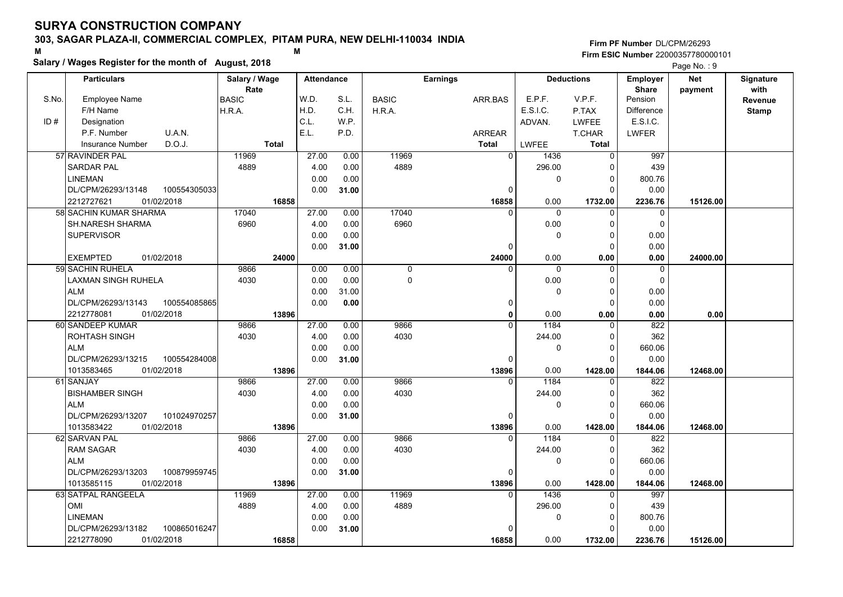### **303, SAGAR PLAZA-II, COMMERCIAL COMPLEX, PITAM PURA, NEW DELHI-110034 INDIA**

**Salary / Wages Register for the month of August, 2018 <sup>M</sup> <sup>M</sup>**

|       | Salary / Wages Register for the month of August, 2018 |               |       |                   |              |               |                 |                |                |                     |                   | Page No.: 9 |                  |
|-------|-------------------------------------------------------|---------------|-------|-------------------|--------------|---------------|-----------------|----------------|----------------|---------------------|-------------------|-------------|------------------|
|       | <b>Particulars</b>                                    | Salary / Wage |       | <b>Attendance</b> |              |               | <b>Earnings</b> |                |                | <b>Deductions</b>   | Employer          | <b>Net</b>  | <b>Signature</b> |
|       |                                                       | Rate          |       |                   |              |               |                 |                |                |                     | <b>Share</b>      | payment     | with             |
| S.No. | <b>Employee Name</b>                                  | <b>BASIC</b>  |       | W.D.              | S.L.         | <b>BASIC</b>  | ARR.BAS         |                | E.P.F.         | V.P.F.              | Pension           |             | Revenue          |
|       | F/H Name                                              | H.R.A.        |       | H.D.              | C.H.         | H.R.A.        |                 |                | E.S.I.C.       | P.TAX               | <b>Difference</b> |             | <b>Stamp</b>     |
| ID#   | Designation                                           |               |       | C.L.              | W.P.         |               |                 |                | ADVAN.         | <b>LWFEE</b>        | E.S.I.C.          |             |                  |
|       | P.F. Number<br>U.A.N.                                 |               |       | E.L.              | P.D.         |               | <b>ARREAR</b>   |                |                | <b>T.CHAR</b>       | <b>LWFER</b>      |             |                  |
|       | D.O.J.<br><b>Insurance Number</b>                     | Total         |       |                   |              |               | <b>Total</b>    |                | <b>LWFEE</b>   | <b>Total</b>        |                   |             |                  |
|       | 57 RAVINDER PAL<br><b>SARDAR PAL</b>                  | 11969<br>4889 |       | 27.00<br>4.00     | 0.00         | 11969<br>4889 |                 | $\overline{0}$ | 1436<br>296.00 | $\overline{0}$<br>0 | 997<br>439        |             |                  |
|       | <b>LINEMAN</b>                                        |               |       | 0.00              | 0.00<br>0.00 |               |                 |                | $\mathbf 0$    | 0                   | 800.76            |             |                  |
|       | 100554305033<br>DL/CPM/26293/13148                    |               |       | 0.00              | 31.00        |               |                 | $\Omega$       |                | $\Omega$            | 0.00              |             |                  |
|       | 01/02/2018<br>2212727621                              |               | 16858 |                   |              |               |                 | 16858          | 0.00           | 1732.00             | 2236.76           | 15126.00    |                  |
|       | 58 SACHIN KUMAR SHARMA                                | 17040         |       | 27.00             | 0.00         | 17040         |                 |                | $\Omega$       | $\Omega$            | $\Omega$          |             |                  |
|       | SH.NARESH SHARMA                                      | 6960          |       | 4.00              | 0.00         | 6960          |                 |                | 0.00           | $\Omega$            | $\Omega$          |             |                  |
|       | <b>SUPERVISOR</b>                                     |               |       | 0.00              | 0.00         |               |                 |                | $\mathbf 0$    | $\Omega$            | 0.00              |             |                  |
|       |                                                       |               |       | 0.00              | 31.00        |               |                 | 0              |                | $\Omega$            | 0.00              |             |                  |
|       | <b>EXEMPTED</b><br>01/02/2018                         |               | 24000 |                   |              |               |                 | 24000          | 0.00           | 0.00                | 0.00              | 24000.00    |                  |
|       | 59 SACHIN RUHELA                                      | 9866          |       | 0.00              | 0.00         | 0             |                 | $\Omega$       | $\Omega$       | $\Omega$            | 0                 |             |                  |
|       | <b>LAXMAN SINGH RUHELA</b>                            | 4030          |       | 0.00              | 0.00         | $\pmb{0}$     |                 |                | 0.00           | $\Omega$            | $\mathbf 0$       |             |                  |
|       | <b>ALM</b>                                            |               |       | 0.00              | 31.00        |               |                 |                | $\mathbf 0$    | $\Omega$            | 0.00              |             |                  |
|       | DL/CPM/26293/13143<br>100554085865                    |               |       | 0.00              | 0.00         |               |                 | 0              |                | $\Omega$            | 0.00              |             |                  |
|       | 2212778081<br>01/02/2018                              |               | 13896 |                   |              |               |                 | 0              | 0.00           | 0.00                | 0.00              | 0.00        |                  |
|       | 60 SANDEEP KUMAR                                      | 9866          |       | 27.00             | 0.00         | 9866          |                 | $\Omega$       | 1184           | $\Omega$            | 822               |             |                  |
|       | ROHTASH SINGH                                         | 4030          |       | 4.00              | 0.00         | 4030          |                 |                | 244.00         | $\Omega$            | 362               |             |                  |
|       | <b>ALM</b>                                            |               |       | 0.00              | 0.00         |               |                 |                | 0              | $\Omega$            | 660.06            |             |                  |
|       | DL/CPM/26293/13215<br>100554284008                    |               |       | 0.00              | 31.00        |               |                 | 0              |                | $\Omega$            | 0.00              |             |                  |
|       | 01/02/2018<br>1013583465                              |               | 13896 |                   |              |               |                 | 13896          | 0.00           | 1428.00             | 1844.06           | 12468.00    |                  |
|       | 61 SANJAY                                             | 9866          |       | 27.00             | 0.00         | 9866          |                 |                | 1184           | $\Omega$            | 822               |             |                  |
|       | <b>BISHAMBER SINGH</b>                                | 4030          |       | 4.00              | 0.00         | 4030          |                 |                | 244.00         | 0                   | 362               |             |                  |
|       | <b>ALM</b>                                            |               |       | 0.00              | 0.00         |               |                 |                | $\mathbf 0$    | $\Omega$            | 660.06            |             |                  |
|       | DL/CPM/26293/13207<br>101024970257                    |               |       | 0.00              | 31.00        |               |                 | 0              |                | $\Omega$            | 0.00              |             |                  |
|       | 1013583422<br>01/02/2018                              |               | 13896 |                   |              |               |                 | 13896          | 0.00           | 1428.00             | 1844.06           | 12468.00    |                  |
|       | 62 SARVAN PAL                                         | 9866          |       | 27.00             | 0.00         | 9866          |                 | 0              | 1184           | 0                   | 822               |             |                  |
|       | <b>RAM SAGAR</b>                                      | 4030          |       | 4.00              | 0.00         | 4030          |                 |                | 244.00         | $\Omega$            | 362               |             |                  |
|       | <b>ALM</b>                                            |               |       | 0.00              | 0.00         |               |                 |                | $\Omega$       | $\Omega$            | 660.06            |             |                  |
|       | DL/CPM/26293/13203<br>100879959745                    |               |       | 0.00              | 31.00        |               |                 | $\Omega$       |                | $\Omega$            | 0.00              |             |                  |
|       | 1013585115<br>01/02/2018                              |               | 13896 |                   |              |               |                 | 13896          | 0.00           | 1428.00             | 1844.06           | 12468.00    |                  |
|       | 63 SATPAL RANGEELA                                    | 11969         |       | 27.00             | 0.00         | 11969         |                 | $\Omega$       | 1436           | $\Omega$            | 997               |             |                  |
|       | OMI                                                   | 4889          |       | 4.00              | 0.00         | 4889          |                 |                | 296.00         | $\Omega$            | 439               |             |                  |
|       | <b>LINEMAN</b>                                        |               |       | 0.00              | 0.00         |               |                 |                | 0              | 0<br>0              | 800.76            |             |                  |
|       | DL/CPM/26293/13182<br>100865016247                    |               |       | 0.00              | 31.00        |               |                 |                | 0.00           |                     | 0.00              |             |                  |
|       | 2212778090<br>01/02/2018                              |               | 16858 |                   |              |               |                 | 16858          |                | 1732.00             | 2236.76           | 15126.00    |                  |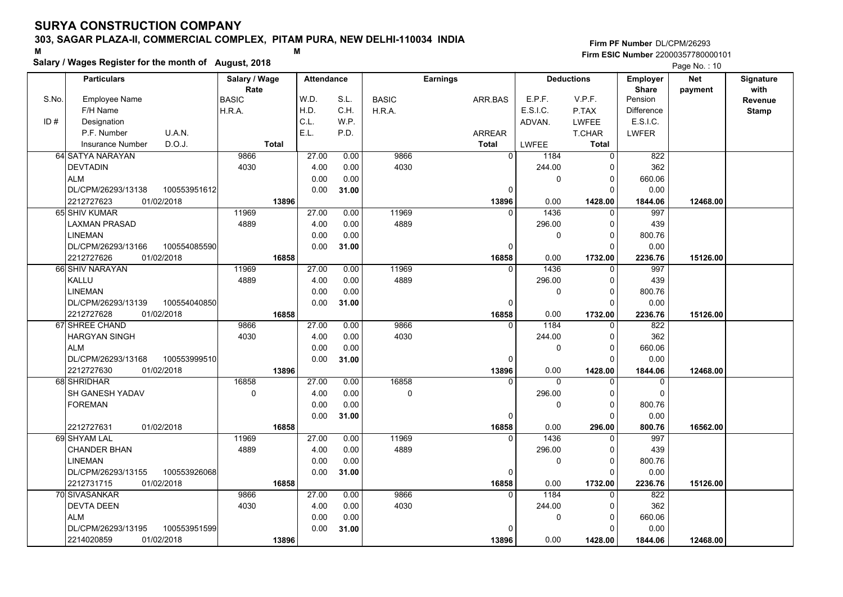#### **303, SAGAR PLAZA-II, COMMERCIAL COMPLEX, PITAM PURA, NEW DELHI-110034 INDIA**

# **Salary / Wages Register for the month of August, 2018 <sup>M</sup> <sup>M</sup>**

|       | Salary / Wages Register for the month of August, 2018 |                     |                   |              |              |                        |                    |                        |                       | Page No.: 10 |                  |
|-------|-------------------------------------------------------|---------------------|-------------------|--------------|--------------|------------------------|--------------------|------------------------|-----------------------|--------------|------------------|
|       | <b>Particulars</b>                                    | Salary / Wage       | <b>Attendance</b> |              |              | <b>Earnings</b>        |                    | <b>Deductions</b>      | Employer              | <b>Net</b>   | <b>Signature</b> |
|       |                                                       | Rate                |                   |              |              |                        |                    |                        | <b>Share</b>          | payment      | with             |
| S.No. | <b>Employee Name</b><br>F/H Name                      | <b>BASIC</b>        | W.D.<br>H.D.      | S.L.<br>C.H. | <b>BASIC</b> | ARR.BAS                | E.P.F.<br>E.S.I.C. | V.P.F.                 | Pension<br>Difference |              | <b>Revenue</b>   |
| ID#   | Designation                                           | H.R.A.              | C.L.              | W.P.         | H.R.A.       |                        |                    | P.TAX                  | E.S.I.C.              |              | <b>Stamp</b>     |
|       | P.F. Number<br>U.A.N.                                 |                     | E.L.              | P.D.         |              |                        | ADVAN.             | <b>LWFEE</b>           |                       |              |                  |
|       | D.O.J.<br><b>Insurance Number</b>                     | Total               |                   |              |              | ARREAR<br><b>Total</b> | <b>LWFEE</b>       | T.CHAR<br><b>Total</b> | <b>LWFER</b>          |              |                  |
|       | 64 SATYA NARAYAN                                      | 9866                | 27.00             | 0.00         | 9866         | $\overline{0}$         | 1184               | $\overline{0}$         | 822                   |              |                  |
|       | <b>DEVTADIN</b>                                       | 4030                | 4.00              | 0.00         | 4030         |                        | 244.00             | $\Omega$               | 362                   |              |                  |
|       | <b>ALM</b>                                            |                     | 0.00              | 0.00         |              |                        | $\mathbf{0}$       | 0                      | 660.06                |              |                  |
|       | DL/CPM/26293/13138<br>100553951612                    |                     | 0.00              | 31.00        |              | $\Omega$               |                    | $\Omega$               | 0.00                  |              |                  |
|       | 01/02/2018<br>2212727623                              | 13896               |                   |              |              | 13896                  | 0.00               | 1428.00                | 1844.06               | 12468.00     |                  |
|       | 65 SHIV KUMAR                                         | 11969               | 27.00             | 0.00         | 11969        | $\Omega$               | 1436               | $\Omega$               | 997                   |              |                  |
|       | <b>LAXMAN PRASAD</b>                                  | 4889                | 4.00              | 0.00         | 4889         |                        | 296.00             | $\mathbf{0}$           | 439                   |              |                  |
|       | <b>LINEMAN</b>                                        |                     | 0.00              | 0.00         |              |                        | $\mathbf{0}$       | $\mathbf{0}$           | 800.76                |              |                  |
|       | DL/CPM/26293/13166<br>100554085590                    |                     | 0.00              | 31.00        |              | 0                      |                    | $\Omega$               | 0.00                  |              |                  |
|       | 2212727626<br>01/02/2018                              | 16858               |                   |              |              | 16858                  | 0.00               | 1732.00                | 2236.76               | 15126.00     |                  |
|       | 66 SHIV NARAYAN                                       | 11969               | 27.00             | 0.00         | 11969        | $\mathbf{0}$           | 1436               | 0                      | 997                   |              |                  |
|       | KALLU                                                 | 4889                | 4.00              | 0.00         | 4889         |                        | 296.00             | 0                      | 439                   |              |                  |
|       | <b>LINEMAN</b>                                        |                     | 0.00              | 0.00         |              |                        | $\mathbf{0}$       | $\Omega$               | 800.76                |              |                  |
|       | DL/CPM/26293/13139<br>100554040850                    |                     | 0.00              | 31.00        |              | $\Omega$               |                    | $\Omega$               | 0.00                  |              |                  |
|       | 2212727628<br>01/02/2018                              | 16858               |                   |              |              | 16858                  | 0.00               | 1732.00                | 2236.76               | 15126.00     |                  |
|       | 67 SHREE CHAND                                        | 9866                | 27.00             | 0.00         | 9866         | $\Omega$               | 1184               | $\Omega$               | 822                   |              |                  |
|       | <b>HARGYAN SINGH</b>                                  | 4030                | 4.00              | 0.00         | 4030         |                        | 244.00             | $\Omega$               | 362                   |              |                  |
|       | <b>ALM</b>                                            |                     | 0.00              | 0.00         |              |                        | $\mathbf{0}$       | $\Omega$               | 660.06                |              |                  |
|       | 100553999510<br>DL/CPM/26293/13168                    |                     | 0.00              | 31.00        |              | 0                      |                    | $\Omega$               | 0.00                  |              |                  |
|       | 01/02/2018<br>2212727630                              | 13896               |                   |              |              | 13896                  | 0.00               | 1428.00                | 1844.06               | 12468.00     |                  |
|       | 68 SHRIDHAR                                           | 16858               | 27.00             | 0.00         | 16858        | $\Omega$               | $\Omega$           | $\Omega$               | $\Omega$              |              |                  |
|       | SH GANESH YADAV                                       | $\mathsf{O}\xspace$ | 4.00              | 0.00         | $\mathsf 0$  |                        | 296.00             | 0                      | $\mathbf 0$           |              |                  |
|       | <b>FOREMAN</b>                                        |                     | 0.00              | 0.00         |              |                        | $\Omega$           | $\Omega$               | 800.76                |              |                  |
|       |                                                       |                     | 0.00              | 31.00        |              | 0                      |                    | $\Omega$               | 0.00                  |              |                  |
|       | 01/02/2018<br>2212727631                              | 16858               |                   |              |              | 16858                  | 0.00               | 296.00                 | 800.76                | 16562.00     |                  |
|       | 69 SHYAM LAL                                          | 11969               | 27.00             | 0.00         | 11969        | 0                      | 1436               | 0                      | 997                   |              |                  |
|       | <b>CHANDER BHAN</b>                                   | 4889                | 4.00              | 0.00         | 4889         |                        | 296.00             | $\Omega$               | 439                   |              |                  |
|       | <b>LINEMAN</b>                                        |                     | 0.00              | 0.00         |              |                        | $\mathbf{0}$       | $\Omega$               | 800.76                |              |                  |
|       | DL/CPM/26293/13155<br>100553926068                    |                     | 0.00              | 31.00        |              | 0                      |                    | $\Omega$               | 0.00                  |              |                  |
|       | 2212731715<br>01/02/2018                              | 16858               |                   |              |              | 16858                  | 0.00               | 1732.00                | 2236.76               | 15126.00     |                  |
|       | 70 SIVASANKAR                                         | 9866                | 27.00             | 0.00         | 9866         | $\Omega$               | 1184               | $\Omega$               | 822                   |              |                  |
|       | <b>DEVTA DEEN</b>                                     | 4030                | 4.00              | 0.00         | 4030         |                        | 244.00             | $\Omega$               | 362                   |              |                  |
|       | <b>ALM</b>                                            |                     | 0.00              | 0.00         |              |                        | 0                  | 0                      | 660.06                |              |                  |
|       | 100553951599<br>DL/CPM/26293/13195                    |                     | 0.00              | 31.00        |              | 0                      |                    | $\Omega$               | 0.00                  |              |                  |
|       | 01/02/2018<br>2214020859                              | 13896               |                   |              |              | 13896                  | 0.00               | 1428.00                | 1844.06               | 12468.00     |                  |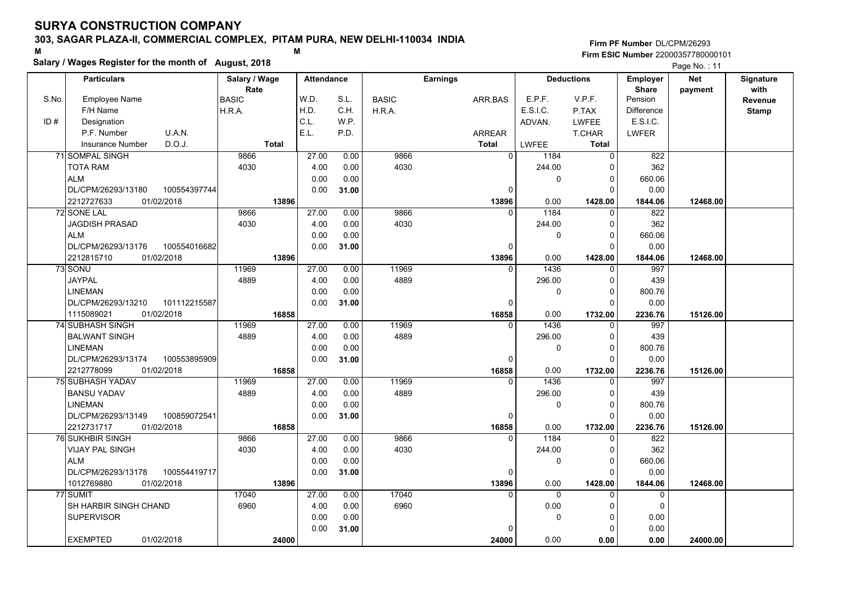### **303, SAGAR PLAZA-II, COMMERCIAL COMPLEX, PITAM PURA, NEW DELHI-110034 INDIA**

# **Salary / Wages Register for the month of August, 2018 <sup>M</sup> <sup>M</sup>**

|       | Salary / Wages Register for the month of August, 2018 |               |                   |              |              |                   |                |                      |                   | Page No.: 11 |                  |
|-------|-------------------------------------------------------|---------------|-------------------|--------------|--------------|-------------------|----------------|----------------------|-------------------|--------------|------------------|
|       | <b>Particulars</b>                                    | Salary / Wage | <b>Attendance</b> |              |              | <b>Earnings</b>   |                | <b>Deductions</b>    | <b>Employer</b>   | <b>Net</b>   | <b>Signature</b> |
|       |                                                       | Rate          |                   |              |              |                   |                |                      | <b>Share</b>      | payment      | with             |
| S.No. | <b>Employee Name</b>                                  | <b>BASIC</b>  | W.D.              | S.L.         | <b>BASIC</b> | ARR.BAS           | E.P.F.         | V.P.F.               | Pension           |              | Revenue          |
|       | F/H Name                                              | H.R.A.        | H.D.              | C.H.         | H.R.A.       |                   | E.S.I.C.       | P.TAX                | <b>Difference</b> |              | <b>Stamp</b>     |
| ID#   | Designation                                           |               | C.L.              | W.P.         |              |                   | ADVAN.         | <b>LWFEE</b>         | E.S.I.C.          |              |                  |
|       | P.F. Number<br>U.A.N.                                 |               | E.L.              | P.D.         |              | ARREAR            |                | T.CHAR               | <b>LWFER</b>      |              |                  |
|       | D.O.J.<br><b>Insurance Number</b>                     | Total         |                   |              |              | <b>Total</b>      | <b>LWFEE</b>   | <b>Total</b>         |                   |              |                  |
|       | 71 SOMPAL SINGH                                       | 9866          | 27.00             | 0.00         | 9866         | $\overline{0}$    | 1184           | $\mathbf 0$          | 822               |              |                  |
|       | <b>TOTA RAM</b>                                       | 4030          | 4.00              | 0.00         | 4030         |                   | 244.00         |                      | 362               |              |                  |
|       | <b>ALM</b>                                            |               | 0.00              | 0.00         |              |                   | 0              | $\Omega$<br>$\Omega$ | 660.06            |              |                  |
|       | DL/CPM/26293/13180<br>100554397744                    |               | 0.00              | 31.00        |              | $\Omega$          |                |                      | 0.00              |              |                  |
|       | 2212727633<br>01/02/2018                              | 13896         |                   |              |              | 13896<br>$\Omega$ | 0.00           | 1428.00<br>$\Omega$  | 1844.06           | 12468.00     |                  |
|       | 72 SONE LAL<br><b>JAGDISH PRASAD</b>                  | 9866<br>4030  | 27.00<br>4.00     | 0.00<br>0.00 | 9866<br>4030 |                   | 1184<br>244.00 | $\Omega$             | 822<br>362        |              |                  |
|       | <b>ALM</b>                                            |               | 0.00              | 0.00         |              |                   | 0              | $\Omega$             | 660.06            |              |                  |
|       | DL/CPM/26293/13176<br>100554016682                    |               | 0.00              | 31.00        |              | 0                 |                | ŋ                    | 0.00              |              |                  |
|       | 2212815710<br>01/02/2018                              | 13896         |                   |              |              | 13896             | 0.00           | 1428.00              | 1844.06           | 12468.00     |                  |
|       | 73 SONU                                               | 11969         | 27.00             | 0.00         | 11969        | $\Omega$          | 1436           | $\mathbf{0}$         | 997               |              |                  |
|       | <b>JAYPAL</b>                                         | 4889          | 4.00              | 0.00         | 4889         |                   | 296.00         | $\Omega$             | 439               |              |                  |
|       | <b>LINEMAN</b>                                        |               | 0.00              | 0.00         |              |                   | 0              | $\Omega$             | 800.76            |              |                  |
|       | DL/CPM/26293/13210<br>101112215587                    |               | 0.00              | 31.00        |              | 0                 |                | ∩                    | 0.00              |              |                  |
|       | 1115089021<br>01/02/2018                              | 16858         |                   |              |              | 16858             | 0.00           | 1732.00              | 2236.76           | 15126.00     |                  |
|       | 74 SUBHASH SINGH                                      | 11969         | 27.00             | 0.00         | 11969        | $\Omega$          | 1436           |                      | 997               |              |                  |
|       | <b>BALWANT SINGH</b>                                  | 4889          | 4.00              | 0.00         | 4889         |                   | 296.00         | $\Omega$             | 439               |              |                  |
|       | <b>LINEMAN</b>                                        |               | 0.00              | 0.00         |              |                   | 0              | $\Omega$             | 800.76            |              |                  |
|       | DL/CPM/26293/13174<br>100553895909                    |               | 0.00              | 31.00        |              | 0                 |                | $\Omega$             | 0.00              |              |                  |
|       | 01/02/2018<br>2212778099                              | 16858         |                   |              |              | 16858             | 0.00           | 1732.00              | 2236.76           | 15126.00     |                  |
|       | 75 SUBHASH YADAV                                      | 11969         | 27.00             | 0.00         | 11969        | $\Omega$          | 1436           | $\Omega$             | 997               |              |                  |
|       | <b>BANSU YADAV</b>                                    | 4889          | 4.00              | 0.00         | 4889         |                   | 296.00         | $\Omega$             | 439               |              |                  |
|       | <b>LINEMAN</b>                                        |               | 0.00              | 0.00         |              |                   | 0              | $\Omega$             | 800.76            |              |                  |
|       | DL/CPM/26293/13149<br>100859072541                    |               | 0.00              | 31.00        |              | 0                 |                | $\Omega$             | 0.00              |              |                  |
|       | 2212731717<br>01/02/2018                              | 16858         |                   |              |              | 16858             | 0.00           | 1732.00              | 2236.76           | 15126.00     |                  |
|       | <b>76 SUKHBIR SINGH</b>                               | 9866          | 27.00             | 0.00         | 9866         | $\mathbf{0}$      | 1184           | 0                    | 822               |              |                  |
|       | <b>VIJAY PAL SINGH</b>                                | 4030          | 4.00              | 0.00         | 4030         |                   | 244.00         | $\Omega$             | 362               |              |                  |
|       | <b>ALM</b>                                            |               | 0.00              | 0.00         |              |                   | 0              | $\Omega$             | 660.06            |              |                  |
|       | DL/CPM/26293/13178<br>100554419717                    |               | 0.00              | 31.00        |              | $\Omega$          |                | ∩                    | 0.00              |              |                  |
|       | 1012769880<br>01/02/2018                              | 13896         |                   |              |              | 13896             | 0.00           | 1428.00              | 1844.06           | 12468.00     |                  |
|       | 77 SUMIT                                              | 17040         | 27.00             | 0.00         | 17040        | $\Omega$          | $\Omega$       | 0                    | $\Omega$          |              |                  |
|       | SH HARBIR SINGH CHAND                                 | 6960          | 4.00              | 0.00         | 6960         |                   | 0.00           | $\Omega$             | $\Omega$          |              |                  |
|       | <b>SUPERVISOR</b>                                     |               | 0.00              | 0.00         |              |                   | 0              | $\Omega$             | 0.00              |              |                  |
|       |                                                       |               | 0.00              | 31.00        |              |                   |                |                      | 0.00              |              |                  |
|       | <b>EXEMPTED</b><br>01/02/2018                         | 24000         |                   |              |              | 24000             | 0.00           | 0.00                 | 0.00              | 24000.00     |                  |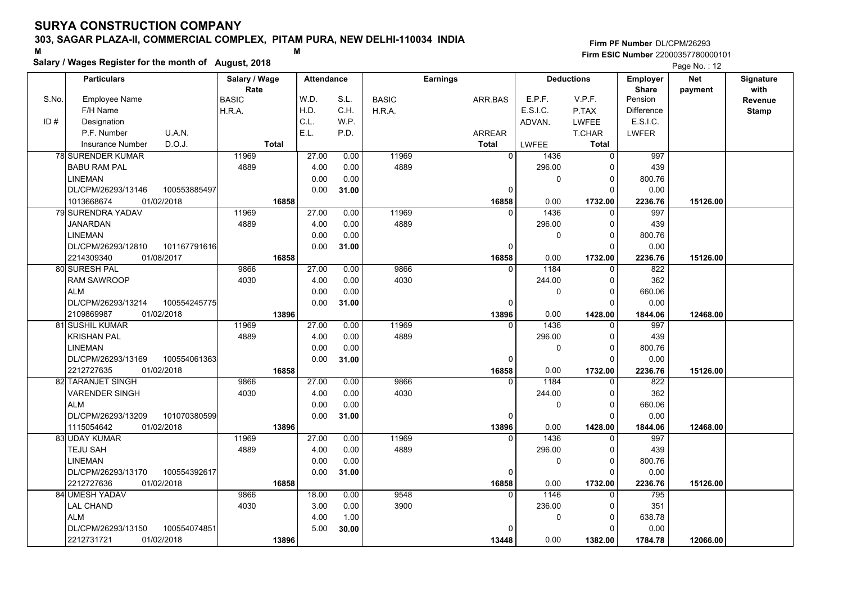#### **303, SAGAR PLAZA-II, COMMERCIAL COMPLEX, PITAM PURA, NEW DELHI-110034 INDIA**

**Salary / Wages Register for the month of August, 2018 <sup>M</sup> <sup>M</sup>**

**Firm PF Number**DL/CPM/26293**Firm ESIC Number** 22000357780000101

|       | <b>Particulars</b>                 | Salary / Wage |              | <b>Attendance</b> |       |              | <b>Earnings</b> |                |              | <b>Deductions</b> | <b>Employer</b>         | <b>Net</b> | Signature    |
|-------|------------------------------------|---------------|--------------|-------------------|-------|--------------|-----------------|----------------|--------------|-------------------|-------------------------|------------|--------------|
| S.No. | <b>Employee Name</b>               | Rate          |              | W.D.              | S.L.  | <b>BASIC</b> |                 |                | E.P.F.       | V.P.F.            | <b>Share</b><br>Pension | payment    | with         |
|       |                                    | <b>BASIC</b>  |              | H.D.              | C.H.  |              |                 | ARR.BAS        | E.S.I.C.     |                   |                         |            | Revenue      |
|       | F/H Name                           | H.R.A.        |              | C.L.              |       | H.R.A.       |                 |                |              | P.TAX             | <b>Difference</b>       |            | <b>Stamp</b> |
| ID#   | Designation                        |               |              |                   | W.P.  |              |                 |                | ADVAN.       | <b>LWFEE</b>      | E.S.I.C.                |            |              |
|       | U.A.N.<br>P.F. Number              |               |              | E.L.              | P.D.  |              |                 | <b>ARREAR</b>  |              | T.CHAR            | <b>LWFER</b>            |            |              |
|       | D.O.J.<br><b>Insurance Number</b>  |               | <b>Total</b> |                   |       |              | <b>Total</b>    |                | <b>LWFEE</b> | Total             |                         |            |              |
|       | 78 SURENDER KUMAR                  | 11969         |              | 27.00             | 0.00  | 11969        |                 | $\overline{0}$ | 1436         | 0                 | 997                     |            |              |
|       | <b>BABU RAM PAL</b>                | 4889          |              | 4.00              | 0.00  | 4889         |                 |                | 296.00       | 0                 | 439                     |            |              |
|       | <b>LINEMAN</b>                     |               |              | 0.00              | 0.00  |              |                 |                | 0            | $\mathbf 0$       | 800.76                  |            |              |
|       | DL/CPM/26293/13146<br>100553885497 |               |              | 0.00              | 31.00 |              |                 | 0              |              | $\Omega$          | 0.00                    |            |              |
|       | 1013668674<br>01/02/2018           |               | 16858        |                   |       |              |                 | 16858          | 0.00         | 1732.00           | 2236.76                 | 15126.00   |              |
|       | <b>79 SURENDRA YADAV</b>           | 11969         |              | 27.00             | 0.00  | 11969        |                 | $\Omega$       | 1436         | $\mathbf 0$       | 997                     |            |              |
|       | <b>JANARDAN</b>                    | 4889          |              | 4.00              | 0.00  | 4889         |                 |                | 296.00       | $\mathbf 0$       | 439                     |            |              |
|       | <b>LINEMAN</b>                     |               |              | 0.00              | 0.00  |              |                 |                | 0            | $\mathbf 0$       | 800.76                  |            |              |
|       | DL/CPM/26293/12810<br>101167791616 |               |              | 0.00              | 31.00 |              |                 | $\Omega$       |              | $\Omega$          | 0.00                    |            |              |
|       | 2214309340<br>01/08/2017           |               | 16858        |                   |       |              |                 | 16858          | 0.00         | 1732.00           | 2236.76                 | 15126.00   |              |
|       | 80 SURESH PAL                      | 9866          |              | 27.00             | 0.00  | 9866         |                 |                | 1184         | $\mathbf 0$       | 822                     |            |              |
|       | <b>RAM SAWROOP</b>                 | 4030          |              | 4.00              | 0.00  | 4030         |                 |                | 244.00       | $\mathbf 0$       | 362                     |            |              |
|       | <b>ALM</b>                         |               |              | 0.00              | 0.00  |              |                 |                | 0            | $\mathbf 0$       | 660.06                  |            |              |
|       | 100554245775<br>DL/CPM/26293/13214 |               |              | 0.00              | 31.00 |              |                 | $\Omega$       |              | $\Omega$          | 0.00                    |            |              |
|       | 2109869987<br>01/02/2018           |               | 13896        |                   |       |              |                 | 13896          | 0.00         | 1428.00           | 1844.06                 | 12468.00   |              |
|       | 81 SUSHIL KUMAR                    | 11969         |              | 27.00             | 0.00  | 11969        |                 | $\Omega$       | 1436         | $\mathbf 0$       | 997                     |            |              |
|       | <b>KRISHAN PAL</b>                 | 4889          |              | 4.00              | 0.00  | 4889         |                 |                | 296.00       | $\mathbf 0$       | 439                     |            |              |
|       | <b>LINEMAN</b>                     |               |              | 0.00              | 0.00  |              |                 |                | 0            | $\mathbf 0$       | 800.76                  |            |              |
|       | DL/CPM/26293/13169<br>100554061363 |               |              | 0.00              | 31.00 |              |                 | 0              |              | $\mathbf 0$       | 0.00                    |            |              |
|       | 2212727635<br>01/02/2018           |               | 16858        |                   |       |              |                 | 16858          | 0.00         | 1732.00           | 2236.76                 | 15126.00   |              |
|       | 82 TARANJET SINGH                  | 9866          |              | 27.00             | 0.00  | 9866         |                 | $\Omega$       | 1184         | $\Omega$          | 822                     |            |              |
|       | VARENDER SINGH                     | 4030          |              | 4.00              | 0.00  | 4030         |                 |                | 244.00       | $\mathbf 0$       | 362                     |            |              |
|       | <b>ALM</b>                         |               |              | 0.00              | 0.00  |              |                 |                | 0            | 0                 | 660.06                  |            |              |
|       | 101070380599<br>DL/CPM/26293/13209 |               |              | 0.00              | 31.00 |              |                 | 0              |              | $\Omega$          | 0.00                    |            |              |
|       | 01/02/2018<br>1115054642           |               | 13896        |                   |       |              |                 | 13896          | 0.00         | 1428.00           | 1844.06                 | 12468.00   |              |
|       | 83 UDAY KUMAR                      | 11969         |              | 27.00             | 0.00  | 11969        |                 |                | 1436         | 0                 | 997                     |            |              |
|       | <b>TEJU SAH</b>                    | 4889          |              | 4.00              | 0.00  | 4889         |                 |                | 296.00       | 0                 | 439                     |            |              |
|       | <b>LINEMAN</b>                     |               |              | 0.00              | 0.00  |              |                 |                | 0            | $\mathbf 0$       | 800.76                  |            |              |
|       | DL/CPM/26293/13170<br>100554392617 |               |              | 0.00              | 31.00 |              |                 | 0              |              | $\Omega$          | 0.00                    |            |              |
|       | 2212727636<br>01/02/2018           |               | 16858        |                   |       |              |                 | 16858          | 0.00         | 1732.00           | 2236.76                 | 15126.00   |              |
|       | 84 UMESH YADAV                     | 9866          |              | 18.00             | 0.00  | 9548         |                 | 0              | 1146         | 0                 | 795                     |            |              |
|       | <b>LAL CHAND</b>                   | 4030          |              | 3.00              | 0.00  | 3900         |                 |                | 236.00       | $\mathbf 0$       | 351                     |            |              |
|       | <b>ALM</b>                         |               |              | 4.00              | 1.00  |              |                 |                | 0            | $\mathbf 0$       | 638.78                  |            |              |
|       | DL/CPM/26293/13150<br>100554074851 |               |              | 5.00              | 30.00 |              |                 | O              |              | $\Omega$          | 0.00                    |            |              |
|       | 2212731721<br>01/02/2018           |               | 13896        |                   |       |              |                 | 13448          | 0.00         | 1382.00           | 1784.78                 | 12066.00   |              |
|       |                                    |               |              |                   |       |              |                 |                |              |                   |                         |            |              |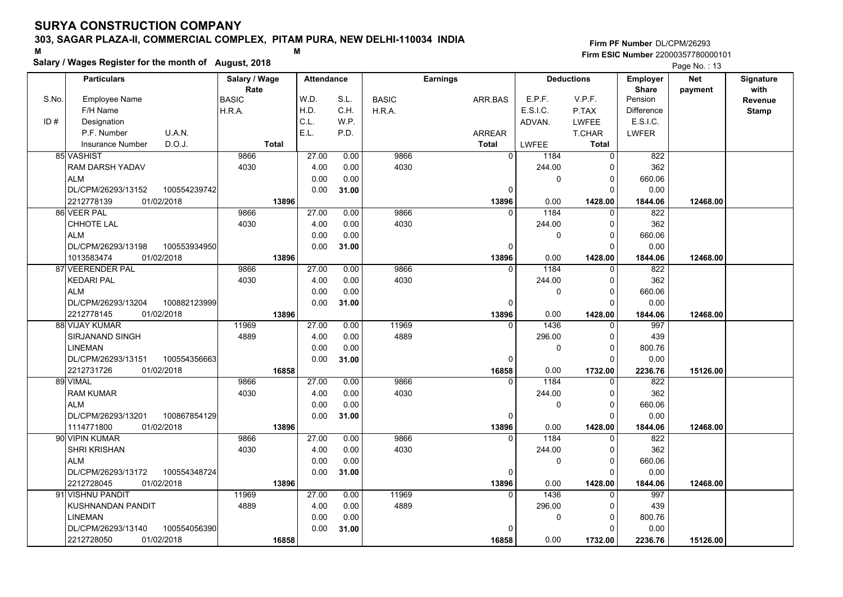#### **303, SAGAR PLAZA-II, COMMERCIAL COMPLEX, PITAM PURA, NEW DELHI-110034 INDIA**

**Salary / Wages Register for the month of August, 2018 <sup>M</sup> <sup>M</sup>**

**Firm PF Number**DL/CPM/26293**Firm ESIC Number** 22000357780000101

|       | <b>Particulars</b>                 | Salary / Wage<br>Rate | <b>Attendance</b> |       | <b>Earnings</b> |         |                        | <b>Deductions</b> |                         | <b>Net</b> | Signature       |
|-------|------------------------------------|-----------------------|-------------------|-------|-----------------|---------|------------------------|-------------------|-------------------------|------------|-----------------|
| S.No. | Employee Name                      | BASIC                 | W.D.              | S.L.  | <b>BASIC</b>    | ARR.BAS | E.P.F.                 | V.P.F.            | <b>Share</b><br>Pension | payment    | with<br>Revenue |
|       | F/H Name                           | H.R.A.                | H.D.              | C.H.  | H.R.A.          |         | E.S.I.C.               | P.TAX             | <b>Difference</b>       |            | <b>Stamp</b>    |
| ID#   | Designation                        |                       | C.L.              | W.P.  |                 |         | ADVAN.                 | <b>LWFEE</b>      | E.S.I.C.                |            |                 |
|       | U.A.N.<br>P.F. Number              |                       | E.L.              | P.D.  |                 | ARREAR  |                        | T.CHAR            | <b>LWFER</b>            |            |                 |
|       | D.O.J.<br>Insurance Number         | <b>Total</b>          |                   |       |                 | Total   | LWFEE                  | <b>Total</b>      |                         |            |                 |
|       | 85 VASHIST                         | 9866                  | 27.00             | 0.00  | 9866            |         | $\overline{0}$<br>1184 | $\mathbf 0$       | 822                     |            |                 |
|       | RAM DARSH YADAV                    | 4030                  | 4.00              | 0.00  | 4030            |         | 244.00                 | $\mathbf 0$       | 362                     |            |                 |
|       | <b>ALM</b>                         |                       | 0.00              | 0.00  |                 |         | 0                      | $\mathbf 0$       | 660.06                  |            |                 |
|       | DL/CPM/26293/13152<br>100554239742 |                       | 0.00              | 31.00 |                 |         | $\Omega$               | $\Omega$          | 0.00                    |            |                 |
|       | 2212778139<br>01/02/2018           | 13896                 |                   |       |                 | 13896   | 0.00                   | 1428.00           | 1844.06                 | 12468.00   |                 |
|       | 86 VEER PAL                        | 9866                  | 27.00             | 0.00  | 9866            |         | 1184<br>$\Omega$       | $\Omega$          | 822                     |            |                 |
|       | CHHOTE LAL                         | 4030                  | 4.00              | 0.00  | 4030            |         | 244.00                 | $\mathbf 0$       | 362                     |            |                 |
|       | <b>ALM</b>                         |                       | 0.00              | 0.00  |                 |         | 0                      | $\mathbf 0$       | 660.06                  |            |                 |
|       | DL/CPM/26293/13198<br>100553934950 |                       | 0.00              | 31.00 |                 |         | $\Omega$               | $\Omega$          | 0.00                    |            |                 |
|       | 1013583474<br>01/02/2018           | 13896                 |                   |       |                 | 13896   | 0.00                   | 1428.00           | 1844.06                 | 12468.00   |                 |
|       | 87 VEERENDER PAL                   | 9866                  | 27.00             | 0.00  | 9866            |         | 1184<br>0              | $\mathbf 0$       | 822                     |            |                 |
|       | <b>KEDARI PAL</b>                  | 4030                  | 4.00              | 0.00  | 4030            |         | 244.00                 | $\Omega$          | 362                     |            |                 |
|       | <b>ALM</b>                         |                       | 0.00              | 0.00  |                 |         | 0                      | $\mathbf 0$       | 660.06                  |            |                 |
|       | DL/CPM/26293/13204<br>100882123999 |                       | 0.00              | 31.00 |                 |         | $\Omega$               | $\Omega$          | 0.00                    |            |                 |
|       | 2212778145<br>01/02/2018           | 13896                 |                   |       |                 | 13896   | 0.00                   | 1428.00           | 1844.06                 | 12468.00   |                 |
|       | 88 VIJAY KUMAR                     | 11969                 | 27.00             | 0.00  | 11969           |         | 1436<br>$\Omega$       | $\mathbf 0$       | 997                     |            |                 |
|       | <b>SIRJANAND SINGH</b>             | 4889                  | 4.00              | 0.00  | 4889            |         | 296.00                 | $\mathbf 0$       | 439                     |            |                 |
|       | <b>LINEMAN</b>                     |                       | 0.00              | 0.00  |                 |         | 0                      | $\mathbf 0$       | 800.76                  |            |                 |
|       | DL/CPM/26293/13151<br>100554356663 |                       | 0.00              | 31.00 |                 |         | 0                      | $\mathbf 0$       | 0.00                    |            |                 |
|       | 2212731726<br>01/02/2018           | 16858                 |                   |       |                 | 16858   | 0.00                   | 1732.00           | 2236.76                 | 15126.00   |                 |
|       | 89 VIMAL                           | 9866                  | 27.00             | 0.00  | 9866            |         | 1184<br>$\Omega$       | $\Omega$          | 822                     |            |                 |
|       | <b>RAM KUMAR</b>                   | 4030                  | 4.00              | 0.00  | 4030            |         | 244.00                 | $\mathbf 0$       | 362                     |            |                 |
|       | <b>ALM</b>                         |                       | 0.00              | 0.00  |                 |         | 0                      | $\mathbf 0$       | 660.06                  |            |                 |
|       | DL/CPM/26293/13201<br>100867854129 |                       | 0.00              | 31.00 |                 |         | 0                      | $\Omega$          | 0.00                    |            |                 |
|       | 01/02/2018<br>1114771800           | 13896                 |                   |       |                 | 13896   | 0.00                   | 1428.00           | 1844.06                 | 12468.00   |                 |
|       | 90 VIPIN KUMAR                     | 9866                  | 27.00             | 0.00  | 9866            |         | 1184                   | $\Omega$          | 822                     |            |                 |
|       | <b>SHRI KRISHAN</b>                | 4030                  | 4.00              | 0.00  | 4030            |         | 244.00                 | 0                 | 362                     |            |                 |
|       | <b>ALM</b>                         |                       | 0.00              | 0.00  |                 |         | 0                      | $\mathbf 0$       | 660.06                  |            |                 |
|       | DL/CPM/26293/13172<br>100554348724 |                       | 0.00              | 31.00 |                 |         | 0                      | $\Omega$          | 0.00                    |            |                 |
|       | 2212728045<br>01/02/2018           | 13896                 |                   |       |                 | 13896   | 0.00                   | 1428.00           | 1844.06                 | 12468.00   |                 |
|       | 91 VISHNU PANDIT                   | 11969                 | 27.00             | 0.00  | 11969           |         | 1436<br>$\Omega$       | $\mathbf 0$       | 997                     |            |                 |
|       | KUSHNANDAN PANDIT                  | 4889                  | 4.00              | 0.00  | 4889            |         | 296.00                 | 0                 | 439                     |            |                 |
|       | <b>LINEMAN</b>                     |                       | 0.00              | 0.00  |                 |         | 0                      | $\mathbf 0$       | 800.76                  |            |                 |
|       | DL/CPM/26293/13140<br>100554056390 |                       | 0.00              | 31.00 |                 |         | <sup>0</sup>           | $\mathbf 0$       | 0.00                    |            |                 |
|       | 2212728050<br>01/02/2018           | 16858                 |                   |       |                 | 16858   | 0.00                   | 1732.00           | 2236.76                 | 15126.00   |                 |